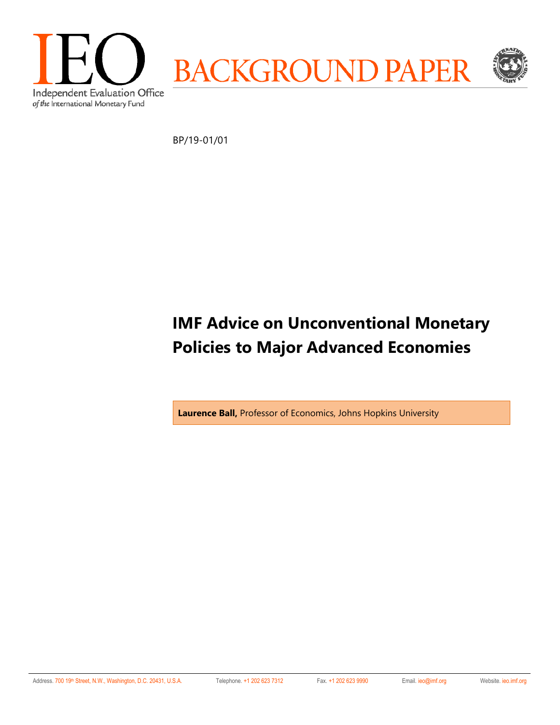

BP/19-01/01

# **IMF Advice on Unconventional Monetary Policies to Major Advanced Economies**

**Laurence Ball,** Professor of Economics, Johns Hopkins University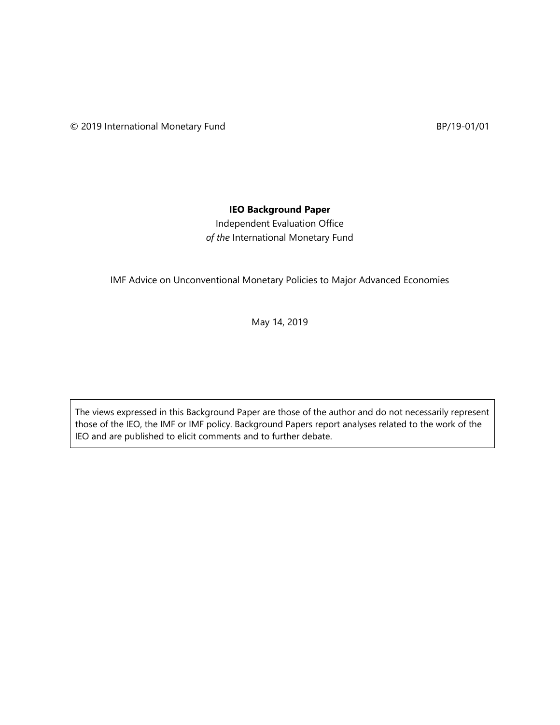# **IEO Background Paper**

Independent Evaluation Office *of the* International Monetary Fund

IMF Advice on Unconventional Monetary Policies to Major Advanced Economies

May 14, 2019

The views expressed in this Background Paper are those of the author and do not necessarily represent those of the IEO, the IMF or IMF policy. Background Papers report analyses related to the work of the IEO and are published to elicit comments and to further debate.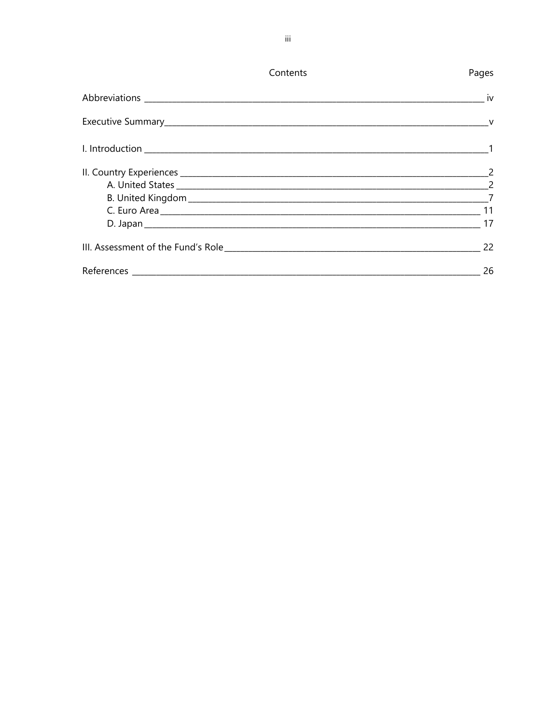| Contents | Pages                      |
|----------|----------------------------|
|          | $\overline{\mathsf{v}}$ iv |
|          |                            |
|          |                            |
|          |                            |
|          |                            |
|          |                            |
|          |                            |
|          |                            |
|          | 22                         |
|          | 26                         |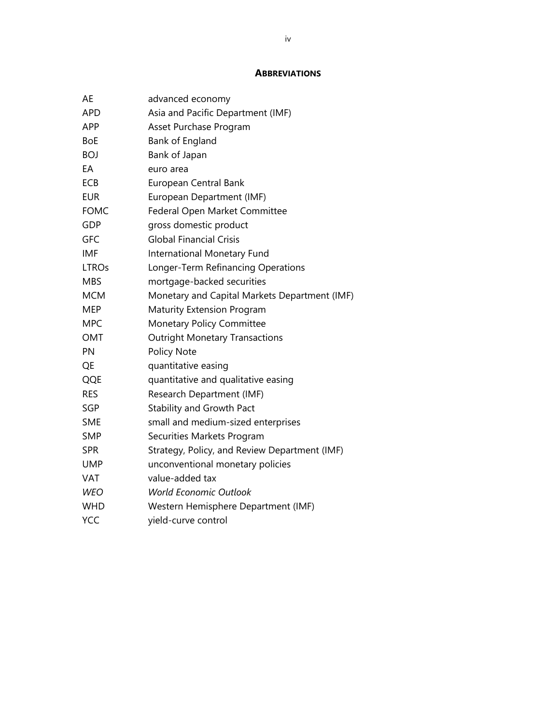#### **ABBREVIATIONS**

| AE           | advanced economy                              |
|--------------|-----------------------------------------------|
| <b>APD</b>   | Asia and Pacific Department (IMF)             |
| APP          | Asset Purchase Program                        |
| <b>BoE</b>   | Bank of England                               |
| <b>BOJ</b>   | Bank of Japan                                 |
| EA           | euro area                                     |
| <b>ECB</b>   | European Central Bank                         |
| <b>EUR</b>   | European Department (IMF)                     |
| <b>FOMC</b>  | Federal Open Market Committee                 |
| GDP          | gross domestic product                        |
| GFC          | <b>Global Financial Crisis</b>                |
| <b>IMF</b>   | International Monetary Fund                   |
| <b>LTROs</b> | Longer-Term Refinancing Operations            |
| <b>MBS</b>   | mortgage-backed securities                    |
| <b>MCM</b>   | Monetary and Capital Markets Department (IMF) |
| <b>MEP</b>   | <b>Maturity Extension Program</b>             |
| <b>MPC</b>   | <b>Monetary Policy Committee</b>              |
| <b>OMT</b>   | <b>Outright Monetary Transactions</b>         |
| PN           | Policy Note                                   |
| QE           | quantitative easing                           |
| QQE          | quantitative and qualitative easing           |
| <b>RES</b>   | Research Department (IMF)                     |
| <b>SGP</b>   | <b>Stability and Growth Pact</b>              |
| <b>SME</b>   | small and medium-sized enterprises            |
| <b>SMP</b>   | Securities Markets Program                    |
| <b>SPR</b>   | Strategy, Policy, and Review Department (IMF) |
| UMP          | unconventional monetary policies              |
| <b>VAT</b>   | value-added tax                               |
| <b>WEO</b>   | <b>World Economic Outlook</b>                 |
| <b>WHD</b>   | Western Hemisphere Department (IMF)           |
| YCC          | yield-curve control                           |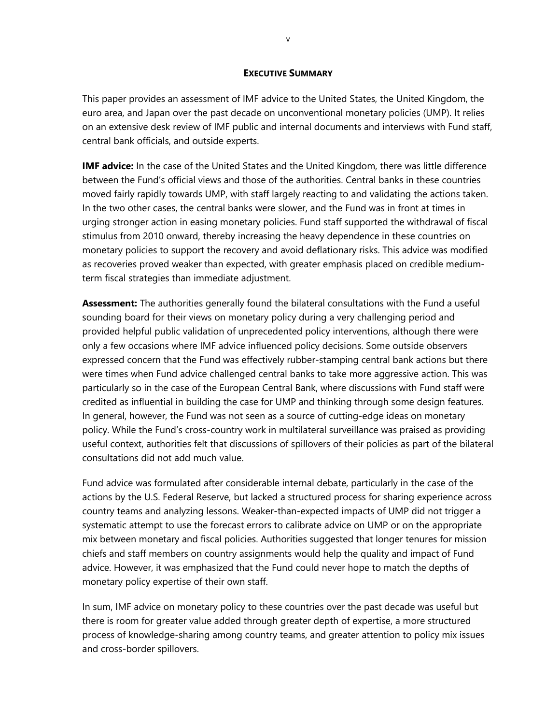#### **EXECUTIVE SUMMARY**

This paper provides an assessment of IMF advice to the United States, the United Kingdom, the euro area, and Japan over the past decade on unconventional monetary policies (UMP). It relies on an extensive desk review of IMF public and internal documents and interviews with Fund staff, central bank officials, and outside experts.

**IMF advice:** In the case of the United States and the United Kingdom, there was little difference between the Fund's official views and those of the authorities. Central banks in these countries moved fairly rapidly towards UMP, with staff largely reacting to and validating the actions taken. In the two other cases, the central banks were slower, and the Fund was in front at times in urging stronger action in easing monetary policies. Fund staff supported the withdrawal of fiscal stimulus from 2010 onward, thereby increasing the heavy dependence in these countries on monetary policies to support the recovery and avoid deflationary risks. This advice was modified as recoveries proved weaker than expected, with greater emphasis placed on credible mediumterm fiscal strategies than immediate adjustment.

**Assessment:** The authorities generally found the bilateral consultations with the Fund a useful sounding board for their views on monetary policy during a very challenging period and provided helpful public validation of unprecedented policy interventions, although there were only a few occasions where IMF advice influenced policy decisions. Some outside observers expressed concern that the Fund was effectively rubber-stamping central bank actions but there were times when Fund advice challenged central banks to take more aggressive action. This was particularly so in the case of the European Central Bank, where discussions with Fund staff were credited as influential in building the case for UMP and thinking through some design features. In general, however, the Fund was not seen as a source of cutting-edge ideas on monetary policy. While the Fund's cross-country work in multilateral surveillance was praised as providing useful context, authorities felt that discussions of spillovers of their policies as part of the bilateral consultations did not add much value.

Fund advice was formulated after considerable internal debate, particularly in the case of the actions by the U.S. Federal Reserve, but lacked a structured process for sharing experience across country teams and analyzing lessons. Weaker-than-expected impacts of UMP did not trigger a systematic attempt to use the forecast errors to calibrate advice on UMP or on the appropriate mix between monetary and fiscal policies. Authorities suggested that longer tenures for mission chiefs and staff members on country assignments would help the quality and impact of Fund advice. However, it was emphasized that the Fund could never hope to match the depths of monetary policy expertise of their own staff.

In sum, IMF advice on monetary policy to these countries over the past decade was useful but there is room for greater value added through greater depth of expertise, a more structured process of knowledge-sharing among country teams, and greater attention to policy mix issues and cross-border spillovers.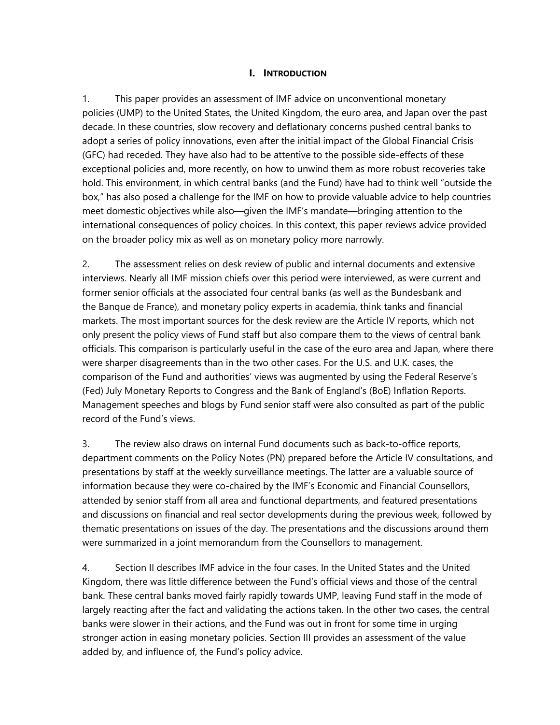#### **I. INTRODUCTION**

1. This paper provides an assessment of IMF advice on unconventional monetary policies (UMP) to the United States, the United Kingdom, the euro area, and Japan over the past decade. In these countries, slow recovery and deflationary concerns pushed central banks to adopt a series of policy innovations, even after the initial impact of the Global Financial Crisis (GFC) had receded. They have also had to be attentive to the possible side-effects of these exceptional policies and, more recently, on how to unwind them as more robust recoveries take hold. This environment, in which central banks (and the Fund) have had to think well "outside the box," has also posed a challenge for the IMF on how to provide valuable advice to help countries meet domestic objectives while also—given the IMF's mandate—bringing attention to the international consequences of policy choices. In this context, this paper reviews advice provided on the broader policy mix as well as on monetary policy more narrowly.

2. The assessment relies on desk review of public and internal documents and extensive interviews. Nearly all IMF mission chiefs over this period were interviewed, as were current and former senior officials at the associated four central banks (as well as the Bundesbank and the Banque de France), and monetary policy experts in academia, think tanks and financial markets. The most important sources for the desk review are the Article IV reports, which not only present the policy views of Fund staff but also compare them to the views of central bank officials. This comparison is particularly useful in the case of the euro area and Japan, where there were sharper disagreements than in the two other cases. For the U.S. and U.K. cases, the comparison of the Fund and authorities' views was augmented by using the Federal Reserve's (Fed) July Monetary Reports to Congress and the Bank of England's (BoE) Inflation Reports. Management speeches and blogs by Fund senior staff were also consulted as part of the public record of the Fund's views.

3. The review also draws on internal Fund documents such as back-to-office reports, department comments on the Policy Notes (PN) prepared before the Article IV consultations, and presentations by staff at the weekly surveillance meetings. The latter are a valuable source of information because they were co-chaired by the IMF's Economic and Financial Counsellors, attended by senior staff from all area and functional departments, and featured presentations and discussions on financial and real sector developments during the previous week, followed by thematic presentations on issues of the day. The presentations and the discussions around them were summarized in a joint memorandum from the Counsellors to management.

4. Section II describes IMF advice in the four cases. In the United States and the United Kingdom, there was little difference between the Fund's official views and those of the central bank. These central banks moved fairly rapidly towards UMP, leaving Fund staff in the mode of largely reacting after the fact and validating the actions taken. In the other two cases, the central banks were slower in their actions, and the Fund was out in front for some time in urging stronger action in easing monetary policies. Section III provides an assessment of the value added by, and influence of, the Fund's policy advice.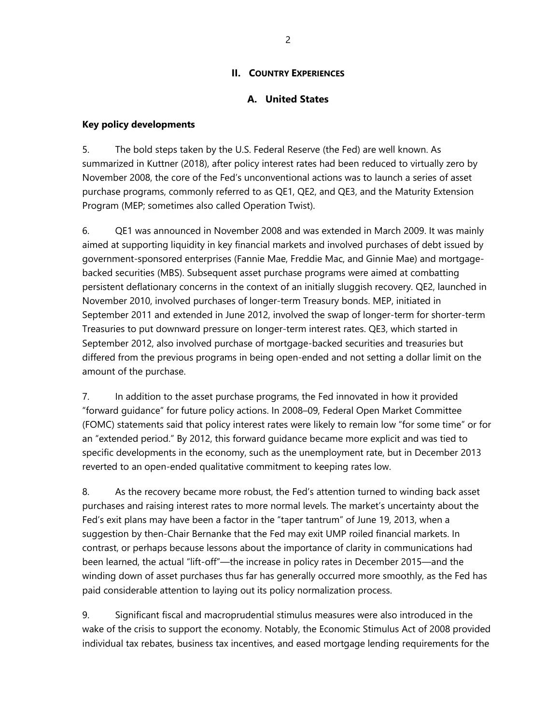# **II. COUNTRY EXPERIENCES**

# **A. United States**

#### **Key policy developments**

5. The bold steps taken by the U.S. Federal Reserve (the Fed) are well known. As summarized in Kuttner (2018), after policy interest rates had been reduced to virtually zero by November 2008, the core of the Fed's unconventional actions was to launch a series of asset purchase programs, commonly referred to as QE1, QE2, and QE3, and the Maturity Extension Program (MEP; sometimes also called Operation Twist).

6. QE1 was announced in November 2008 and was extended in March 2009. It was mainly aimed at supporting liquidity in key financial markets and involved purchases of debt issued by government-sponsored enterprises (Fannie Mae, Freddie Mac, and Ginnie Mae) and mortgagebacked securities (MBS). Subsequent asset purchase programs were aimed at combatting persistent deflationary concerns in the context of an initially sluggish recovery. QE2, launched in November 2010, involved purchases of longer-term Treasury bonds. MEP, initiated in September 2011 and extended in June 2012, involved the swap of longer-term for shorter-term Treasuries to put downward pressure on longer-term interest rates. QE3, which started in September 2012, also involved purchase of mortgage-backed securities and treasuries but differed from the previous programs in being open-ended and not setting a dollar limit on the amount of the purchase.

7. In addition to the asset purchase programs, the Fed innovated in how it provided "forward guidance" for future policy actions. In 2008–09, Federal Open Market Committee (FOMC) statements said that policy interest rates were likely to remain low "for some time" or for an "extended period." By 2012, this forward guidance became more explicit and was tied to specific developments in the economy, such as the unemployment rate, but in December 2013 reverted to an open-ended qualitative commitment to keeping rates low.

8. As the recovery became more robust, the Fed's attention turned to winding back asset purchases and raising interest rates to more normal levels. The market's uncertainty about the Fed's exit plans may have been a factor in the "taper tantrum" of June 19, 2013, when a suggestion by then-Chair Bernanke that the Fed may exit UMP roiled financial markets. In contrast, or perhaps because lessons about the importance of clarity in communications had been learned, the actual "lift-off"—the increase in policy rates in December 2015—and the winding down of asset purchases thus far has generally occurred more smoothly, as the Fed has paid considerable attention to laying out its policy normalization process.

9. Significant fiscal and macroprudential stimulus measures were also introduced in the wake of the crisis to support the economy. Notably, the Economic Stimulus Act of 2008 provided individual tax rebates, business tax incentives, and eased mortgage lending requirements for the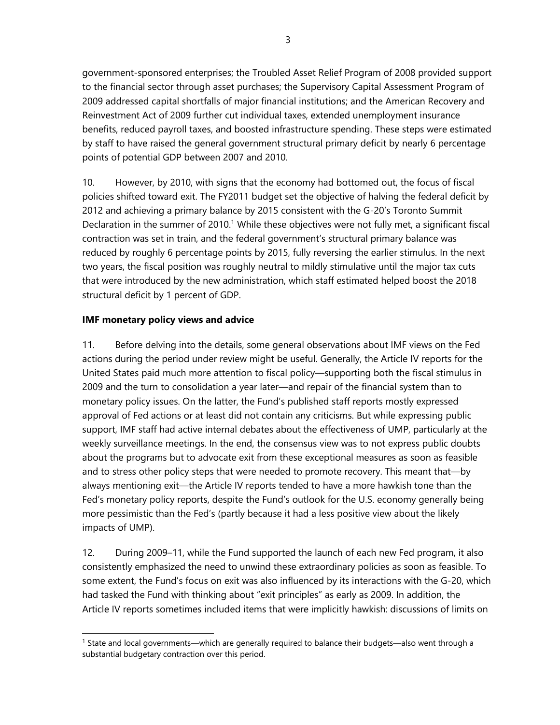government-sponsored enterprises; the Troubled Asset Relief Program of 2008 provided support to the financial sector through asset purchases; the Supervisory Capital Assessment Program of 2009 addressed capital shortfalls of major financial institutions; and the American Recovery and Reinvestment Act of 2009 further cut individual taxes, extended unemployment insurance benefits, reduced payroll taxes, and boosted infrastructure spending. These steps were estimated by staff to have raised the general government structural primary deficit by nearly 6 percentage points of potential GDP between 2007 and 2010.

10. However, by 2010, with signs that the economy had bottomed out, the focus of fiscal policies shifted toward exit. The FY2011 budget set the objective of halving the federal deficit by 2012 and achieving a primary balance by 2015 consistent with the G-20's Toronto Summit Declaration in the summer of 2010.<sup>1</sup> While these objectives were not fully met, a significant fiscal contraction was set in train, and the federal government's structural primary balance was reduced by roughly 6 percentage points by 2015, fully reversing the earlier stimulus. In the next two years, the fiscal position was roughly neutral to mildly stimulative until the major tax cuts that were introduced by the new administration, which staff estimated helped boost the 2018 structural deficit by 1 percent of GDP.

## **IMF monetary policy views and advice**

 $\overline{a}$ 

11. Before delving into the details, some general observations about IMF views on the Fed actions during the period under review might be useful. Generally, the Article IV reports for the United States paid much more attention to fiscal policy—supporting both the fiscal stimulus in 2009 and the turn to consolidation a year later—and repair of the financial system than to monetary policy issues. On the latter, the Fund's published staff reports mostly expressed approval of Fed actions or at least did not contain any criticisms. But while expressing public support, IMF staff had active internal debates about the effectiveness of UMP, particularly at the weekly surveillance meetings. In the end, the consensus view was to not express public doubts about the programs but to advocate exit from these exceptional measures as soon as feasible and to stress other policy steps that were needed to promote recovery. This meant that—by always mentioning exit—the Article IV reports tended to have a more hawkish tone than the Fed's monetary policy reports, despite the Fund's outlook for the U.S. economy generally being more pessimistic than the Fed's (partly because it had a less positive view about the likely impacts of UMP).

12. During 2009–11, while the Fund supported the launch of each new Fed program, it also consistently emphasized the need to unwind these extraordinary policies as soon as feasible. To some extent, the Fund's focus on exit was also influenced by its interactions with the G-20, which had tasked the Fund with thinking about "exit principles" as early as 2009. In addition, the Article IV reports sometimes included items that were implicitly hawkish: discussions of limits on

<sup>1</sup> State and local governments—which are generally required to balance their budgets—also went through a substantial budgetary contraction over this period.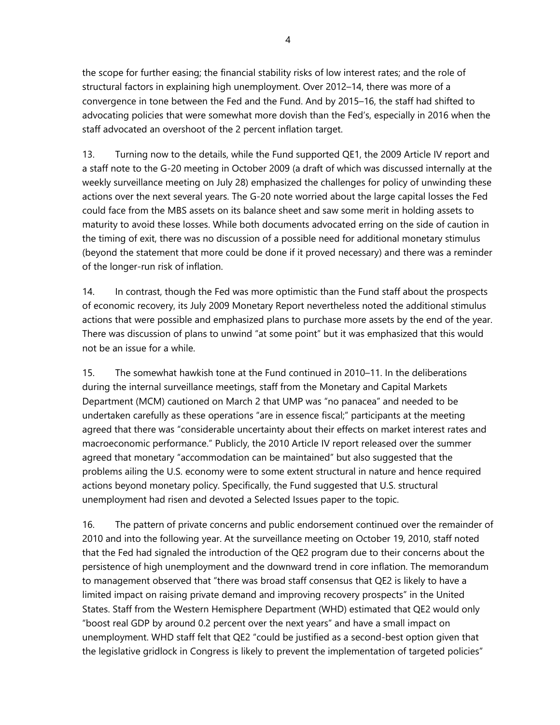the scope for further easing; the financial stability risks of low interest rates; and the role of structural factors in explaining high unemployment. Over 2012–14, there was more of a convergence in tone between the Fed and the Fund. And by 2015–16, the staff had shifted to advocating policies that were somewhat more dovish than the Fed's, especially in 2016 when the staff advocated an overshoot of the 2 percent inflation target.

13. Turning now to the details, while the Fund supported QE1, the 2009 Article IV report and a staff note to the G-20 meeting in October 2009 (a draft of which was discussed internally at the weekly surveillance meeting on July 28) emphasized the challenges for policy of unwinding these actions over the next several years. The G-20 note worried about the large capital losses the Fed could face from the MBS assets on its balance sheet and saw some merit in holding assets to maturity to avoid these losses. While both documents advocated erring on the side of caution in the timing of exit, there was no discussion of a possible need for additional monetary stimulus (beyond the statement that more could be done if it proved necessary) and there was a reminder of the longer-run risk of inflation.

14. In contrast, though the Fed was more optimistic than the Fund staff about the prospects of economic recovery, its July 2009 Monetary Report nevertheless noted the additional stimulus actions that were possible and emphasized plans to purchase more assets by the end of the year. There was discussion of plans to unwind "at some point" but it was emphasized that this would not be an issue for a while.

15. The somewhat hawkish tone at the Fund continued in 2010–11. In the deliberations during the internal surveillance meetings, staff from the Monetary and Capital Markets Department (MCM) cautioned on March 2 that UMP was "no panacea" and needed to be undertaken carefully as these operations "are in essence fiscal;" participants at the meeting agreed that there was "considerable uncertainty about their effects on market interest rates and macroeconomic performance." Publicly, the 2010 Article IV report released over the summer agreed that monetary "accommodation can be maintained" but also suggested that the problems ailing the U.S. economy were to some extent structural in nature and hence required actions beyond monetary policy. Specifically, the Fund suggested that U.S. structural unemployment had risen and devoted a Selected Issues paper to the topic.

16. The pattern of private concerns and public endorsement continued over the remainder of 2010 and into the following year. At the surveillance meeting on October 19, 2010, staff noted that the Fed had signaled the introduction of the QE2 program due to their concerns about the persistence of high unemployment and the downward trend in core inflation. The memorandum to management observed that "there was broad staff consensus that QE2 is likely to have a limited impact on raising private demand and improving recovery prospects" in the United States. Staff from the Western Hemisphere Department (WHD) estimated that QE2 would only "boost real GDP by around 0.2 percent over the next years" and have a small impact on unemployment. WHD staff felt that QE2 "could be justified as a second-best option given that the legislative gridlock in Congress is likely to prevent the implementation of targeted policies"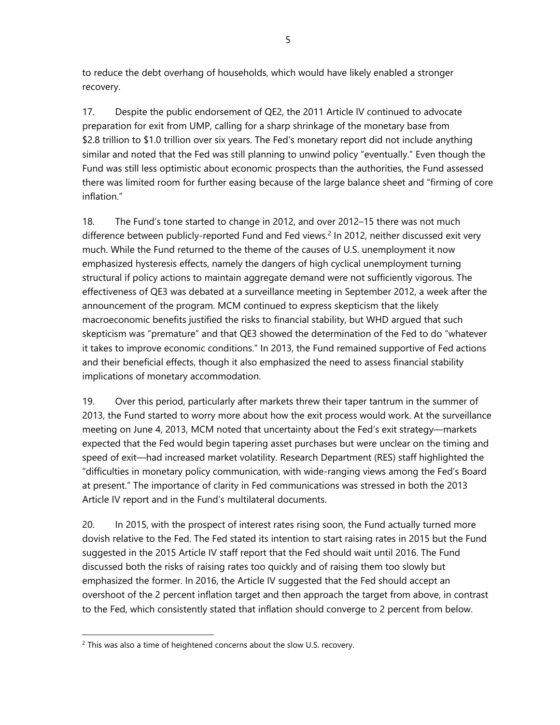to reduce the debt overhang of households, which would have likely enabled a stronger recovery.

17. Despite the public endorsement of QE2, the 2011 Article IV continued to advocate preparation for exit from UMP, calling for a sharp shrinkage of the monetary base from \$2.8 trillion to \$1.0 trillion over six years. The Fed's monetary report did not include anything similar and noted that the Fed was still planning to unwind policy "eventually." Even though the Fund was still less optimistic about economic prospects than the authorities, the Fund assessed there was limited room for further easing because of the large balance sheet and "firming of core inflation."

18. The Fund's tone started to change in 2012, and over 2012–15 there was not much difference between publicly-reported Fund and Fed views.<sup>2</sup> In 2012, neither discussed exit very much. While the Fund returned to the theme of the causes of U.S. unemployment it now emphasized hysteresis effects, namely the dangers of high cyclical unemployment turning structural if policy actions to maintain aggregate demand were not sufficiently vigorous. The effectiveness of QE3 was debated at a surveillance meeting in September 2012, a week after the announcement of the program. MCM continued to express skepticism that the likely macroeconomic benefits justified the risks to financial stability, but WHD argued that such skepticism was "premature" and that QE3 showed the determination of the Fed to do "whatever it takes to improve economic conditions." In 2013, the Fund remained supportive of Fed actions and their beneficial effects, though it also emphasized the need to assess financial stability implications of monetary accommodation.

19. Over this period, particularly after markets threw their taper tantrum in the summer of 2013, the Fund started to worry more about how the exit process would work. At the surveillance meeting on June 4, 2013, MCM noted that uncertainty about the Fed's exit strategy—markets expected that the Fed would begin tapering asset purchases but were unclear on the timing and speed of exit—had increased market volatility. Research Department (RES) staff highlighted the "difficulties in monetary policy communication, with wide-ranging views among the Fed's Board at present." The importance of clarity in Fed communications was stressed in both the 2013 Article IV report and in the Fund's multilateral documents.

20. In 2015, with the prospect of interest rates rising soon, the Fund actually turned more dovish relative to the Fed. The Fed stated its intention to start raising rates in 2015 but the Fund suggested in the 2015 Article IV staff report that the Fed should wait until 2016. The Fund discussed both the risks of raising rates too quickly and of raising them too slowly but emphasized the former. In 2016, the Article IV suggested that the Fed should accept an overshoot of the 2 percent inflation target and then approach the target from above, in contrast to the Fed, which consistently stated that inflation should converge to 2 percent from below.

l

 $2$  This was also a time of heightened concerns about the slow U.S. recovery.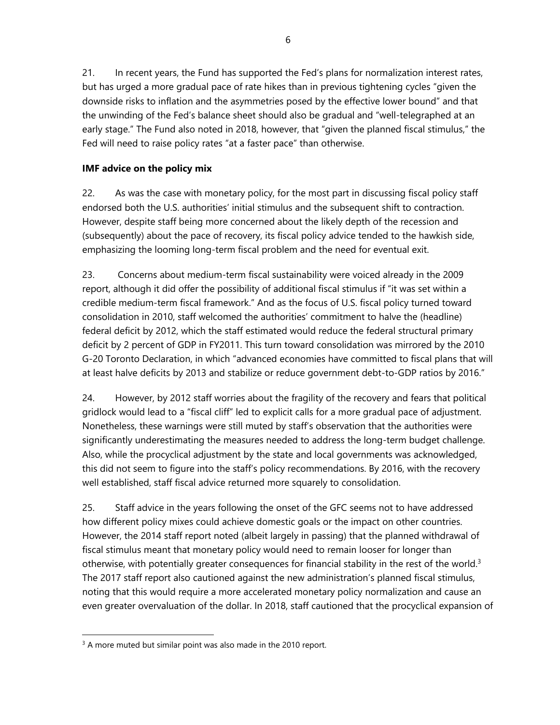21. In recent years, the Fund has supported the Fed's plans for normalization interest rates, but has urged a more gradual pace of rate hikes than in previous tightening cycles "given the downside risks to inflation and the asymmetries posed by the effective lower bound" and that the unwinding of the Fed's balance sheet should also be gradual and "well-telegraphed at an early stage." The Fund also noted in 2018, however, that "given the planned fiscal stimulus," the Fed will need to raise policy rates "at a faster pace" than otherwise.

# **IMF advice on the policy mix**

22. As was the case with monetary policy, for the most part in discussing fiscal policy staff endorsed both the U.S. authorities' initial stimulus and the subsequent shift to contraction. However, despite staff being more concerned about the likely depth of the recession and (subsequently) about the pace of recovery, its fiscal policy advice tended to the hawkish side, emphasizing the looming long-term fiscal problem and the need for eventual exit.

23. Concerns about medium-term fiscal sustainability were voiced already in the 2009 report, although it did offer the possibility of additional fiscal stimulus if "it was set within a credible medium-term fiscal framework." And as the focus of U.S. fiscal policy turned toward consolidation in 2010, staff welcomed the authorities' commitment to halve the (headline) federal deficit by 2012, which the staff estimated would reduce the federal structural primary deficit by 2 percent of GDP in FY2011. This turn toward consolidation was mirrored by the 2010 G-20 Toronto Declaration, in which "advanced economies have committed to fiscal plans that will at least halve deficits by 2013 and stabilize or reduce government debt-to-GDP ratios by 2016."

24. However, by 2012 staff worries about the fragility of the recovery and fears that political gridlock would lead to a "fiscal cliff" led to explicit calls for a more gradual pace of adjustment. Nonetheless, these warnings were still muted by staff's observation that the authorities were significantly underestimating the measures needed to address the long-term budget challenge. Also, while the procyclical adjustment by the state and local governments was acknowledged, this did not seem to figure into the staff's policy recommendations. By 2016, with the recovery well established, staff fiscal advice returned more squarely to consolidation.

25. Staff advice in the years following the onset of the GFC seems not to have addressed how different policy mixes could achieve domestic goals or the impact on other countries. However, the 2014 staff report noted (albeit largely in passing) that the planned withdrawal of fiscal stimulus meant that monetary policy would need to remain looser for longer than otherwise, with potentially greater consequences for financial stability in the rest of the world.<sup>3</sup> The 2017 staff report also cautioned against the new administration's planned fiscal stimulus, noting that this would require a more accelerated monetary policy normalization and cause an even greater overvaluation of the dollar. In 2018, staff cautioned that the procyclical expansion of

l

<sup>&</sup>lt;sup>3</sup> A more muted but similar point was also made in the 2010 report.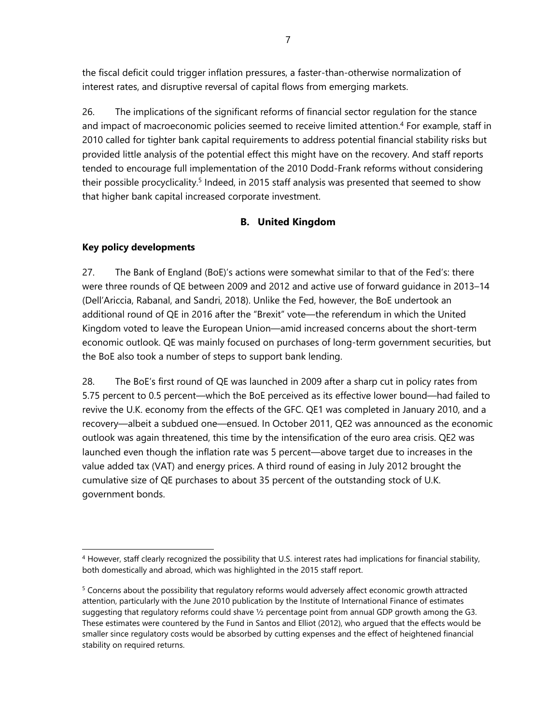the fiscal deficit could trigger inflation pressures, a faster-than-otherwise normalization of interest rates, and disruptive reversal of capital flows from emerging markets.

26. The implications of the significant reforms of financial sector regulation for the stance and impact of macroeconomic policies seemed to receive limited attention.<sup>4</sup> For example, staff in 2010 called for tighter bank capital requirements to address potential financial stability risks but provided little analysis of the potential effect this might have on the recovery. And staff reports tended to encourage full implementation of the 2010 Dodd-Frank reforms without considering their possible procyclicality.<sup>5</sup> Indeed, in 2015 staff analysis was presented that seemed to show that higher bank capital increased corporate investment.

# **B. United Kingdom**

## **Key policy developments**

l

27. The Bank of England (BoE)'s actions were somewhat similar to that of the Fed's: there were three rounds of QE between 2009 and 2012 and active use of forward guidance in 2013–14 (Dell'Ariccia, Rabanal, and Sandri, 2018). Unlike the Fed, however, the BoE undertook an additional round of QE in 2016 after the "Brexit" vote—the referendum in which the United Kingdom voted to leave the European Union—amid increased concerns about the short-term economic outlook. QE was mainly focused on purchases of long-term government securities, but the BoE also took a number of steps to support bank lending.

28. The BoE's first round of QE was launched in 2009 after a sharp cut in policy rates from 5.75 percent to 0.5 percent—which the BoE perceived as its effective lower bound—had failed to revive the U.K. economy from the effects of the GFC. QE1 was completed in January 2010, and a recovery—albeit a subdued one—ensued. In October 2011, QE2 was announced as the economic outlook was again threatened, this time by the intensification of the euro area crisis. QE2 was launched even though the inflation rate was 5 percent—above target due to increases in the value added tax (VAT) and energy prices. A third round of easing in July 2012 brought the cumulative size of QE purchases to about 35 percent of the outstanding stock of U.K. government bonds.

<sup>&</sup>lt;sup>4</sup> However, staff clearly recognized the possibility that U.S. interest rates had implications for financial stability, both domestically and abroad, which was highlighted in the 2015 staff report.

<sup>&</sup>lt;sup>5</sup> Concerns about the possibility that regulatory reforms would adversely affect economic growth attracted attention, particularly with the June 2010 publication by the Institute of International Finance of estimates suggesting that regulatory reforms could shave ½ percentage point from annual GDP growth among the G3. These estimates were countered by the Fund in Santos and Elliot (2012), who argued that the effects would be smaller since regulatory costs would be absorbed by cutting expenses and the effect of heightened financial stability on required returns.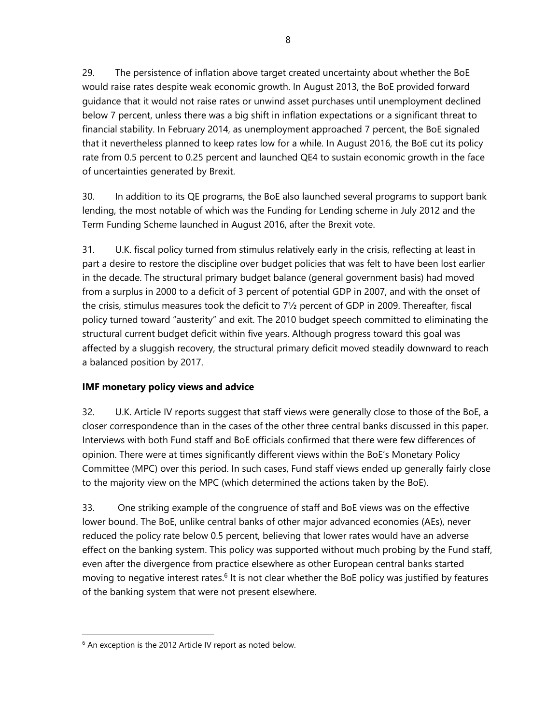8

29. The persistence of inflation above target created uncertainty about whether the BoE would raise rates despite weak economic growth. In August 2013, the BoE provided forward guidance that it would not raise rates or unwind asset purchases until unemployment declined below 7 percent, unless there was a big shift in inflation expectations or a significant threat to financial stability. In February 2014, as unemployment approached 7 percent, the BoE signaled that it nevertheless planned to keep rates low for a while. In August 2016, the BoE cut its policy rate from 0.5 percent to 0.25 percent and launched QE4 to sustain economic growth in the face of uncertainties generated by Brexit.

30. In addition to its QE programs, the BoE also launched several programs to support bank lending, the most notable of which was the Funding for Lending scheme in July 2012 and the Term Funding Scheme launched in August 2016, after the Brexit vote.

31. U.K. fiscal policy turned from stimulus relatively early in the crisis, reflecting at least in part a desire to restore the discipline over budget policies that was felt to have been lost earlier in the decade. The structural primary budget balance (general government basis) had moved from a surplus in 2000 to a deficit of 3 percent of potential GDP in 2007, and with the onset of the crisis, stimulus measures took the deficit to 7½ percent of GDP in 2009. Thereafter, fiscal policy turned toward "austerity" and exit. The 2010 budget speech committed to eliminating the structural current budget deficit within five years. Although progress toward this goal was affected by a sluggish recovery, the structural primary deficit moved steadily downward to reach a balanced position by 2017.

# **IMF monetary policy views and advice**

32. U.K. Article IV reports suggest that staff views were generally close to those of the BoE, a closer correspondence than in the cases of the other three central banks discussed in this paper. Interviews with both Fund staff and BoE officials confirmed that there were few differences of opinion. There were at times significantly different views within the BoE's Monetary Policy Committee (MPC) over this period. In such cases, Fund staff views ended up generally fairly close to the majority view on the MPC (which determined the actions taken by the BoE).

33. One striking example of the congruence of staff and BoE views was on the effective lower bound. The BoE, unlike central banks of other major advanced economies (AEs), never reduced the policy rate below 0.5 percent, believing that lower rates would have an adverse effect on the banking system. This policy was supported without much probing by the Fund staff, even after the divergence from practice elsewhere as other European central banks started moving to negative interest rates.<sup>6</sup> It is not clear whether the BoE policy was justified by features of the banking system that were not present elsewhere.

l

 $6$  An exception is the 2012 Article IV report as noted below.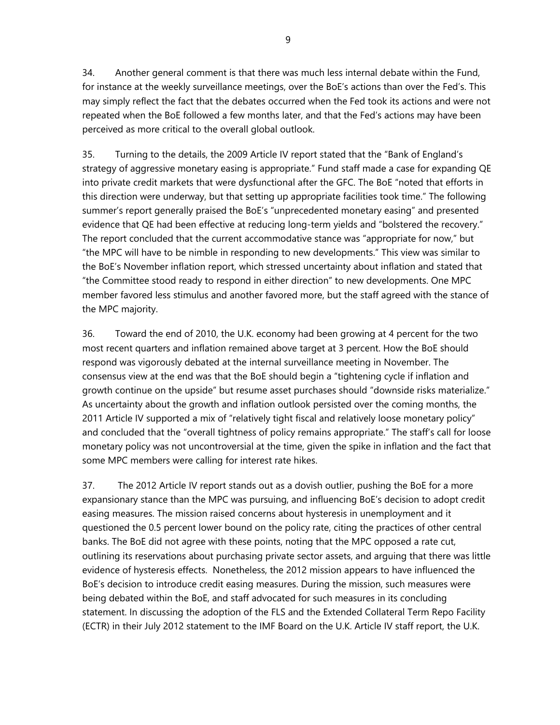9

34. Another general comment is that there was much less internal debate within the Fund, for instance at the weekly surveillance meetings, over the BoE's actions than over the Fed's. This may simply reflect the fact that the debates occurred when the Fed took its actions and were not repeated when the BoE followed a few months later, and that the Fed's actions may have been perceived as more critical to the overall global outlook.

35. Turning to the details, the 2009 Article IV report stated that the "Bank of England's strategy of aggressive monetary easing is appropriate." Fund staff made a case for expanding QE into private credit markets that were dysfunctional after the GFC. The BoE "noted that efforts in this direction were underway, but that setting up appropriate facilities took time." The following summer's report generally praised the BoE's "unprecedented monetary easing" and presented evidence that QE had been effective at reducing long-term yields and "bolstered the recovery." The report concluded that the current accommodative stance was "appropriate for now," but "the MPC will have to be nimble in responding to new developments." This view was similar to the BoE's November inflation report, which stressed uncertainty about inflation and stated that "the Committee stood ready to respond in either direction" to new developments. One MPC member favored less stimulus and another favored more, but the staff agreed with the stance of the MPC majority.

36. Toward the end of 2010, the U.K. economy had been growing at 4 percent for the two most recent quarters and inflation remained above target at 3 percent. How the BoE should respond was vigorously debated at the internal surveillance meeting in November. The consensus view at the end was that the BoE should begin a "tightening cycle if inflation and growth continue on the upside" but resume asset purchases should "downside risks materialize." As uncertainty about the growth and inflation outlook persisted over the coming months, the 2011 Article IV supported a mix of "relatively tight fiscal and relatively loose monetary policy" and concluded that the "overall tightness of policy remains appropriate." The staff's call for loose monetary policy was not uncontroversial at the time, given the spike in inflation and the fact that some MPC members were calling for interest rate hikes.

37. The 2012 Article IV report stands out as a dovish outlier, pushing the BoE for a more expansionary stance than the MPC was pursuing, and influencing BoE's decision to adopt credit easing measures. The mission raised concerns about hysteresis in unemployment and it questioned the 0.5 percent lower bound on the policy rate, citing the practices of other central banks. The BoE did not agree with these points, noting that the MPC opposed a rate cut, outlining its reservations about purchasing private sector assets, and arguing that there was little evidence of hysteresis effects. Nonetheless, the 2012 mission appears to have influenced the BoE's decision to introduce credit easing measures. During the mission, such measures were being debated within the BoE, and staff advocated for such measures in its concluding statement. In discussing the adoption of the FLS and the Extended Collateral Term Repo Facility (ECTR) in their July 2012 statement to the IMF Board on the U.K. Article IV staff report, the U.K.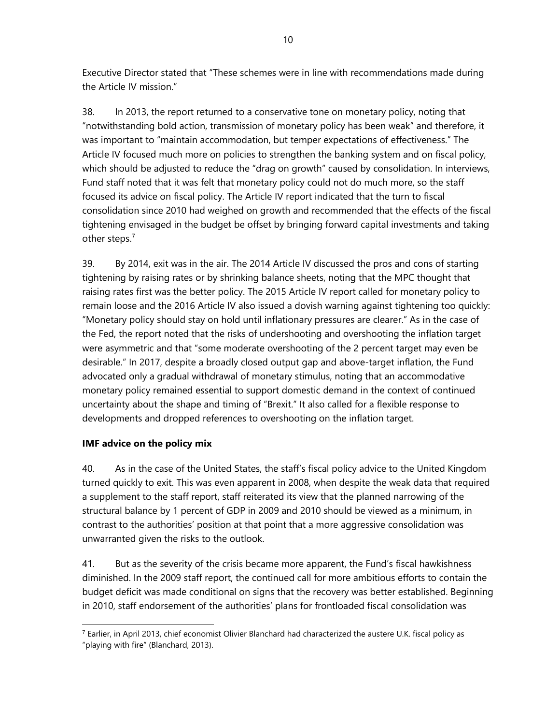Executive Director stated that "These schemes were in line with recommendations made during the Article IV mission."

38. In 2013, the report returned to a conservative tone on monetary policy, noting that "notwithstanding bold action, transmission of monetary policy has been weak" and therefore, it was important to "maintain accommodation, but temper expectations of effectiveness." The Article IV focused much more on policies to strengthen the banking system and on fiscal policy, which should be adjusted to reduce the "drag on growth" caused by consolidation. In interviews, Fund staff noted that it was felt that monetary policy could not do much more, so the staff focused its advice on fiscal policy. The Article IV report indicated that the turn to fiscal consolidation since 2010 had weighed on growth and recommended that the effects of the fiscal tightening envisaged in the budget be offset by bringing forward capital investments and taking other steps.7

39. By 2014, exit was in the air. The 2014 Article IV discussed the pros and cons of starting tightening by raising rates or by shrinking balance sheets, noting that the MPC thought that raising rates first was the better policy. The 2015 Article IV report called for monetary policy to remain loose and the 2016 Article IV also issued a dovish warning against tightening too quickly: "Monetary policy should stay on hold until inflationary pressures are clearer." As in the case of the Fed, the report noted that the risks of undershooting and overshooting the inflation target were asymmetric and that "some moderate overshooting of the 2 percent target may even be desirable." In 2017, despite a broadly closed output gap and above-target inflation, the Fund advocated only a gradual withdrawal of monetary stimulus, noting that an accommodative monetary policy remained essential to support domestic demand in the context of continued uncertainty about the shape and timing of "Brexit." It also called for a flexible response to developments and dropped references to overshooting on the inflation target.

# **IMF advice on the policy mix**

l

40. As in the case of the United States, the staff's fiscal policy advice to the United Kingdom turned quickly to exit. This was even apparent in 2008, when despite the weak data that required a supplement to the staff report, staff reiterated its view that the planned narrowing of the structural balance by 1 percent of GDP in 2009 and 2010 should be viewed as a minimum, in contrast to the authorities' position at that point that a more aggressive consolidation was unwarranted given the risks to the outlook.

41. But as the severity of the crisis became more apparent, the Fund's fiscal hawkishness diminished. In the 2009 staff report, the continued call for more ambitious efforts to contain the budget deficit was made conditional on signs that the recovery was better established. Beginning in 2010, staff endorsement of the authorities' plans for frontloaded fiscal consolidation was

 $7$  Earlier, in April 2013, chief economist Olivier Blanchard had characterized the austere U.K. fiscal policy as "playing with fire" (Blanchard, 2013).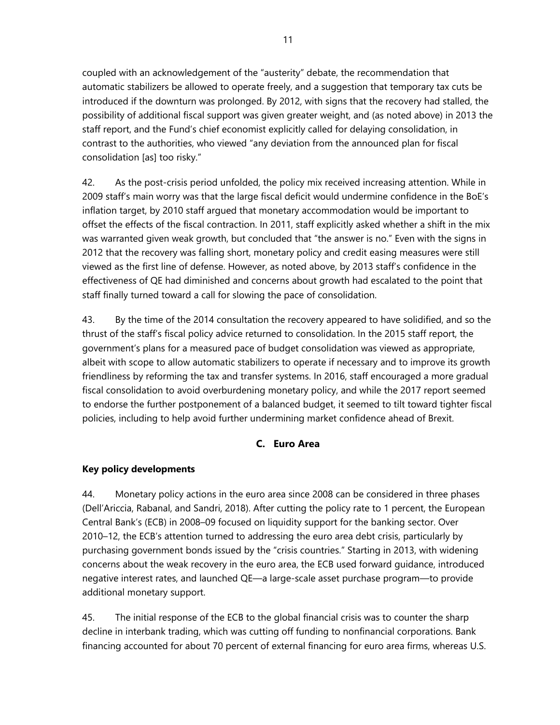coupled with an acknowledgement of the "austerity" debate, the recommendation that automatic stabilizers be allowed to operate freely, and a suggestion that temporary tax cuts be introduced if the downturn was prolonged. By 2012, with signs that the recovery had stalled, the possibility of additional fiscal support was given greater weight, and (as noted above) in 2013 the staff report, and the Fund's chief economist explicitly called for delaying consolidation, in contrast to the authorities, who viewed "any deviation from the announced plan for fiscal consolidation [as] too risky."

42. As the post-crisis period unfolded, the policy mix received increasing attention. While in 2009 staff's main worry was that the large fiscal deficit would undermine confidence in the BoE's inflation target, by 2010 staff argued that monetary accommodation would be important to offset the effects of the fiscal contraction. In 2011, staff explicitly asked whether a shift in the mix was warranted given weak growth, but concluded that "the answer is no." Even with the signs in 2012 that the recovery was falling short, monetary policy and credit easing measures were still viewed as the first line of defense. However, as noted above, by 2013 staff's confidence in the effectiveness of QE had diminished and concerns about growth had escalated to the point that staff finally turned toward a call for slowing the pace of consolidation.

43. By the time of the 2014 consultation the recovery appeared to have solidified, and so the thrust of the staff's fiscal policy advice returned to consolidation. In the 2015 staff report, the government's plans for a measured pace of budget consolidation was viewed as appropriate, albeit with scope to allow automatic stabilizers to operate if necessary and to improve its growth friendliness by reforming the tax and transfer systems. In 2016, staff encouraged a more gradual fiscal consolidation to avoid overburdening monetary policy, and while the 2017 report seemed to endorse the further postponement of a balanced budget, it seemed to tilt toward tighter fiscal policies, including to help avoid further undermining market confidence ahead of Brexit.

# **C. Euro Area**

# **Key policy developments**

44. Monetary policy actions in the euro area since 2008 can be considered in three phases (Dell'Ariccia, Rabanal, and Sandri, 2018). After cutting the policy rate to 1 percent, the European Central Bank's (ECB) in 2008–09 focused on liquidity support for the banking sector. Over 2010–12, the ECB's attention turned to addressing the euro area debt crisis, particularly by purchasing government bonds issued by the "crisis countries." Starting in 2013, with widening concerns about the weak recovery in the euro area, the ECB used forward guidance, introduced negative interest rates, and launched QE—a large-scale asset purchase program—to provide additional monetary support.

45. The initial response of the ECB to the global financial crisis was to counter the sharp decline in interbank trading, which was cutting off funding to nonfinancial corporations. Bank financing accounted for about 70 percent of external financing for euro area firms, whereas U.S.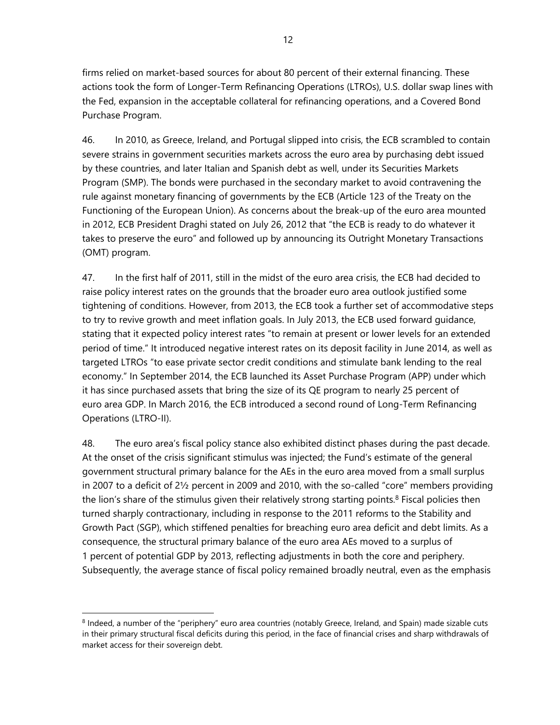firms relied on market-based sources for about 80 percent of their external financing. These actions took the form of Longer-Term Refinancing Operations (LTROs), U.S. dollar swap lines with the Fed, expansion in the acceptable collateral for refinancing operations, and a Covered Bond Purchase Program.

46. In 2010, as Greece, Ireland, and Portugal slipped into crisis, the ECB scrambled to contain severe strains in government securities markets across the euro area by purchasing debt issued by these countries, and later Italian and Spanish debt as well, under its Securities Markets Program (SMP). The bonds were purchased in the secondary market to avoid contravening the rule against monetary financing of governments by the ECB (Article 123 of the Treaty on the Functioning of the European Union). As concerns about the break-up of the euro area mounted in 2012, ECB President Draghi stated on July 26, 2012 that "the ECB is ready to do whatever it takes to preserve the euro" and followed up by announcing its Outright Monetary Transactions (OMT) program.

47. In the first half of 2011, still in the midst of the euro area crisis, the ECB had decided to raise policy interest rates on the grounds that the broader euro area outlook justified some tightening of conditions. However, from 2013, the ECB took a further set of accommodative steps to try to revive growth and meet inflation goals. In July 2013, the ECB used forward guidance, stating that it expected policy interest rates "to remain at present or lower levels for an extended period of time." It introduced negative interest rates on its deposit facility in June 2014, as well as targeted LTROs "to ease private sector credit conditions and stimulate bank lending to the real economy." In September 2014, the ECB launched its Asset Purchase Program (APP) under which it has since purchased assets that bring the size of its QE program to nearly 25 percent of euro area GDP. In March 2016, the ECB introduced a second round of Long-Term Refinancing Operations (LTRO-II).

48. The euro area's fiscal policy stance also exhibited distinct phases during the past decade. At the onset of the crisis significant stimulus was injected; the Fund's estimate of the general government structural primary balance for the AEs in the euro area moved from a small surplus in 2007 to a deficit of 2½ percent in 2009 and 2010, with the so-called "core" members providing the lion's share of the stimulus given their relatively strong starting points.<sup>8</sup> Fiscal policies then turned sharply contractionary, including in response to the 2011 reforms to the Stability and Growth Pact (SGP), which stiffened penalties for breaching euro area deficit and debt limits. As a consequence, the structural primary balance of the euro area AEs moved to a surplus of 1 percent of potential GDP by 2013, reflecting adjustments in both the core and periphery. Subsequently, the average stance of fiscal policy remained broadly neutral, even as the emphasis

<sup>&</sup>lt;sup>8</sup> Indeed, a number of the "periphery" euro area countries (notably Greece, Ireland, and Spain) made sizable cuts in their primary structural fiscal deficits during this period, in the face of financial crises and sharp withdrawals of market access for their sovereign debt.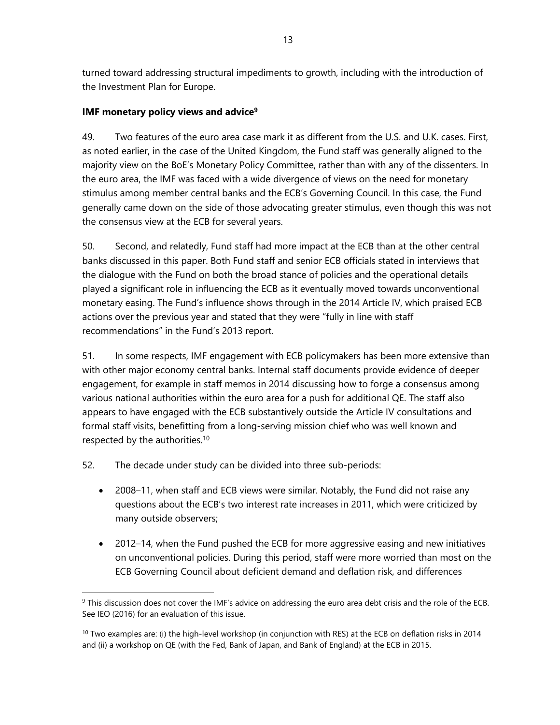turned toward addressing structural impediments to growth, including with the introduction of the Investment Plan for Europe.

## **IMF monetary policy views and advice9**

49. Two features of the euro area case mark it as different from the U.S. and U.K. cases. First, as noted earlier, in the case of the United Kingdom, the Fund staff was generally aligned to the majority view on the BoE's Monetary Policy Committee, rather than with any of the dissenters. In the euro area, the IMF was faced with a wide divergence of views on the need for monetary stimulus among member central banks and the ECB's Governing Council. In this case, the Fund generally came down on the side of those advocating greater stimulus, even though this was not the consensus view at the ECB for several years.

50. Second, and relatedly, Fund staff had more impact at the ECB than at the other central banks discussed in this paper. Both Fund staff and senior ECB officials stated in interviews that the dialogue with the Fund on both the broad stance of policies and the operational details played a significant role in influencing the ECB as it eventually moved towards unconventional monetary easing. The Fund's influence shows through in the 2014 Article IV, which praised ECB actions over the previous year and stated that they were "fully in line with staff recommendations" in the Fund's 2013 report.

51. In some respects, IMF engagement with ECB policymakers has been more extensive than with other major economy central banks. Internal staff documents provide evidence of deeper engagement, for example in staff memos in 2014 discussing how to forge a consensus among various national authorities within the euro area for a push for additional QE. The staff also appears to have engaged with the ECB substantively outside the Article IV consultations and formal staff visits, benefitting from a long-serving mission chief who was well known and respected by the authorities.10

52. The decade under study can be divided into three sub-periods:

- 2008–11, when staff and ECB views were similar. Notably, the Fund did not raise any questions about the ECB's two interest rate increases in 2011, which were criticized by many outside observers;
- 2012–14, when the Fund pushed the ECB for more aggressive easing and new initiatives on unconventional policies. During this period, staff were more worried than most on the ECB Governing Council about deficient demand and deflation risk, and differences

<sup>&</sup>lt;sup>9</sup> This discussion does not cover the IMF's advice on addressing the euro area debt crisis and the role of the ECB. See IEO (2016) for an evaluation of this issue.

 $10$  Two examples are: (i) the high-level workshop (in conjunction with RES) at the ECB on deflation risks in 2014 and (ii) a workshop on QE (with the Fed, Bank of Japan, and Bank of England) at the ECB in 2015.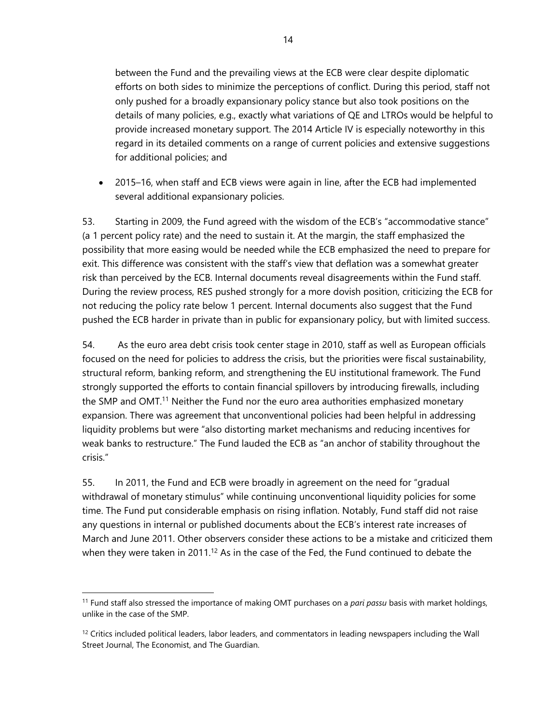between the Fund and the prevailing views at the ECB were clear despite diplomatic efforts on both sides to minimize the perceptions of conflict. During this period, staff not only pushed for a broadly expansionary policy stance but also took positions on the details of many policies, e.g., exactly what variations of QE and LTROs would be helpful to provide increased monetary support. The 2014 Article IV is especially noteworthy in this regard in its detailed comments on a range of current policies and extensive suggestions for additional policies; and

 2015–16, when staff and ECB views were again in line, after the ECB had implemented several additional expansionary policies.

53. Starting in 2009, the Fund agreed with the wisdom of the ECB's "accommodative stance" (a 1 percent policy rate) and the need to sustain it. At the margin, the staff emphasized the possibility that more easing would be needed while the ECB emphasized the need to prepare for exit. This difference was consistent with the staff's view that deflation was a somewhat greater risk than perceived by the ECB. Internal documents reveal disagreements within the Fund staff. During the review process, RES pushed strongly for a more dovish position, criticizing the ECB for not reducing the policy rate below 1 percent. Internal documents also suggest that the Fund pushed the ECB harder in private than in public for expansionary policy, but with limited success.

54. As the euro area debt crisis took center stage in 2010, staff as well as European officials focused on the need for policies to address the crisis, but the priorities were fiscal sustainability, structural reform, banking reform, and strengthening the EU institutional framework. The Fund strongly supported the efforts to contain financial spillovers by introducing firewalls, including the SMP and OMT.<sup>11</sup> Neither the Fund nor the euro area authorities emphasized monetary expansion. There was agreement that unconventional policies had been helpful in addressing liquidity problems but were "also distorting market mechanisms and reducing incentives for weak banks to restructure." The Fund lauded the ECB as "an anchor of stability throughout the crisis."

55. In 2011, the Fund and ECB were broadly in agreement on the need for "gradual withdrawal of monetary stimulus" while continuing unconventional liquidity policies for some time. The Fund put considerable emphasis on rising inflation. Notably, Fund staff did not raise any questions in internal or published documents about the ECB's interest rate increases of March and June 2011. Other observers consider these actions to be a mistake and criticized them when they were taken in 2011.<sup>12</sup> As in the case of the Fed, the Fund continued to debate the

<sup>11</sup> Fund staff also stressed the importance of making OMT purchases on a *pari passu* basis with market holdings, unlike in the case of the SMP.

 $12$  Critics included political leaders, labor leaders, and commentators in leading newspapers including the Wall Street Journal, The Economist, and The Guardian.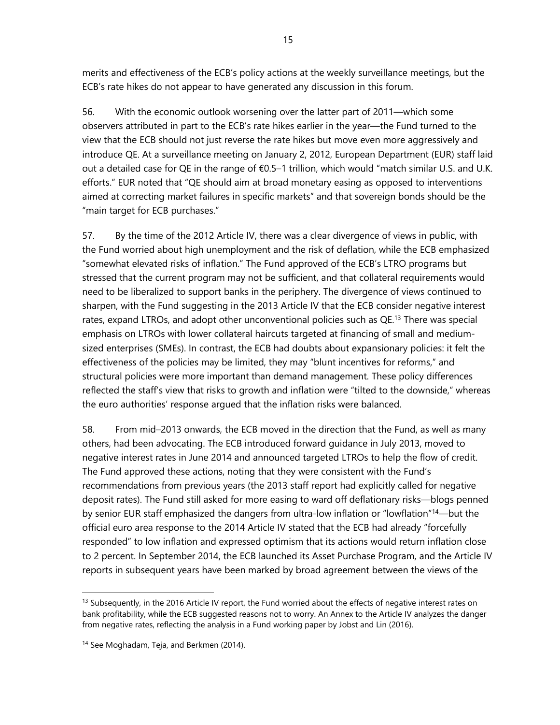merits and effectiveness of the ECB's policy actions at the weekly surveillance meetings, but the ECB's rate hikes do not appear to have generated any discussion in this forum.

56. With the economic outlook worsening over the latter part of 2011—which some observers attributed in part to the ECB's rate hikes earlier in the year—the Fund turned to the view that the ECB should not just reverse the rate hikes but move even more aggressively and introduce QE. At a surveillance meeting on January 2, 2012, European Department (EUR) staff laid out a detailed case for QE in the range of €0.5–1 trillion, which would "match similar U.S. and U.K. efforts." EUR noted that "QE should aim at broad monetary easing as opposed to interventions aimed at correcting market failures in specific markets" and that sovereign bonds should be the "main target for ECB purchases."

57. By the time of the 2012 Article IV, there was a clear divergence of views in public, with the Fund worried about high unemployment and the risk of deflation, while the ECB emphasized "somewhat elevated risks of inflation." The Fund approved of the ECB's LTRO programs but stressed that the current program may not be sufficient, and that collateral requirements would need to be liberalized to support banks in the periphery. The divergence of views continued to sharpen, with the Fund suggesting in the 2013 Article IV that the ECB consider negative interest rates, expand LTROs, and adopt other unconventional policies such as QE.<sup>13</sup> There was special emphasis on LTROs with lower collateral haircuts targeted at financing of small and mediumsized enterprises (SMEs). In contrast, the ECB had doubts about expansionary policies: it felt the effectiveness of the policies may be limited, they may "blunt incentives for reforms," and structural policies were more important than demand management. These policy differences reflected the staff's view that risks to growth and inflation were "tilted to the downside," whereas the euro authorities' response argued that the inflation risks were balanced.

58. From mid–2013 onwards, the ECB moved in the direction that the Fund, as well as many others, had been advocating. The ECB introduced forward guidance in July 2013, moved to negative interest rates in June 2014 and announced targeted LTROs to help the flow of credit. The Fund approved these actions, noting that they were consistent with the Fund's recommendations from previous years (the 2013 staff report had explicitly called for negative deposit rates). The Fund still asked for more easing to ward off deflationary risks—blogs penned by senior EUR staff emphasized the dangers from ultra-low inflation or "lowflation"<sup>14</sup>—but the official euro area response to the 2014 Article IV stated that the ECB had already "forcefully responded" to low inflation and expressed optimism that its actions would return inflation close to 2 percent. In September 2014, the ECB launched its Asset Purchase Program, and the Article IV reports in subsequent years have been marked by broad agreement between the views of the

 $13$  Subsequently, in the 2016 Article IV report, the Fund worried about the effects of negative interest rates on bank profitability, while the ECB suggested reasons not to worry. An Annex to the Article IV analyzes the danger from negative rates, reflecting the analysis in a Fund working paper by Jobst and Lin (2016).

<sup>&</sup>lt;sup>14</sup> See Moghadam, Teja, and Berkmen (2014).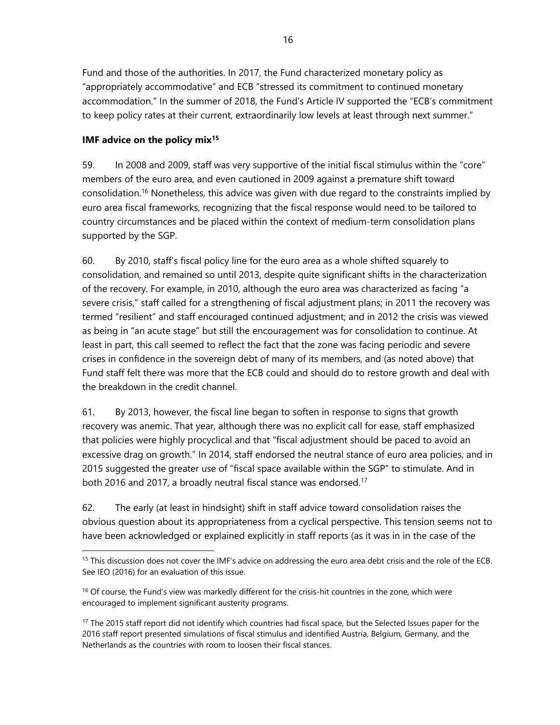Fund and those of the authorities. In 2017, the Fund characterized monetary policy as "appropriately accommodative" and ECB "stressed its commitment to continued monetary accommodation." In the summer of 2018, the Fund's Article IV supported the "ECB's commitment to keep policy rates at their current, extraordinarily low levels at least through next summer."

# **IMF advice on the policy mix15**

l

59. In 2008 and 2009, staff was very supportive of the initial fiscal stimulus within the "core" members of the euro area, and even cautioned in 2009 against a premature shift toward consolidation.16 Nonetheless, this advice was given with due regard to the constraints implied by euro area fiscal frameworks, recognizing that the fiscal response would need to be tailored to country circumstances and be placed within the context of medium-term consolidation plans supported by the SGP.

60. By 2010, staff's fiscal policy line for the euro area as a whole shifted squarely to consolidation, and remained so until 2013, despite quite significant shifts in the characterization of the recovery. For example, in 2010, although the euro area was characterized as facing "a severe crisis," staff called for a strengthening of fiscal adjustment plans; in 2011 the recovery was termed "resilient" and staff encouraged continued adjustment; and in 2012 the crisis was viewed as being in "an acute stage" but still the encouragement was for consolidation to continue. At least in part, this call seemed to reflect the fact that the zone was facing periodic and severe crises in confidence in the sovereign debt of many of its members, and (as noted above) that Fund staff felt there was more that the ECB could and should do to restore growth and deal with the breakdown in the credit channel.

61. By 2013, however, the fiscal line began to soften in response to signs that growth recovery was anemic. That year, although there was no explicit call for ease, staff emphasized that policies were highly procyclical and that "fiscal adjustment should be paced to avoid an excessive drag on growth." In 2014, staff endorsed the neutral stance of euro area policies, and in 2015 suggested the greater use of "fiscal space available within the SGP" to stimulate. And in both 2016 and 2017, a broadly neutral fiscal stance was endorsed.<sup>17</sup>

62. The early (at least in hindsight) shift in staff advice toward consolidation raises the obvious question about its appropriateness from a cyclical perspective. This tension seems not to have been acknowledged or explained explicitly in staff reports (as it was in in the case of the

<sup>&</sup>lt;sup>15</sup> This discussion does not cover the IMF's advice on addressing the euro area debt crisis and the role of the ECB. See IEO (2016) for an evaluation of this issue.

<sup>&</sup>lt;sup>16</sup> Of course, the Fund's view was markedly different for the crisis-hit countries in the zone, which were encouraged to implement significant austerity programs.

<sup>&</sup>lt;sup>17</sup> The 2015 staff report did not identify which countries had fiscal space, but the Selected Issues paper for the 2016 staff report presented simulations of fiscal stimulus and identified Austria, Belgium, Germany, and the Netherlands as the countries with room to loosen their fiscal stances.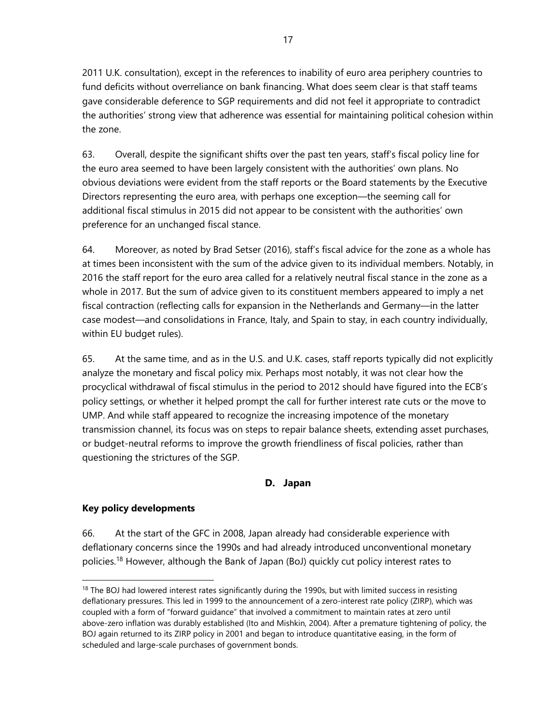2011 U.K. consultation), except in the references to inability of euro area periphery countries to fund deficits without overreliance on bank financing. What does seem clear is that staff teams gave considerable deference to SGP requirements and did not feel it appropriate to contradict the authorities' strong view that adherence was essential for maintaining political cohesion within the zone.

63. Overall, despite the significant shifts over the past ten years, staff's fiscal policy line for the euro area seemed to have been largely consistent with the authorities' own plans. No obvious deviations were evident from the staff reports or the Board statements by the Executive Directors representing the euro area, with perhaps one exception—the seeming call for additional fiscal stimulus in 2015 did not appear to be consistent with the authorities' own preference for an unchanged fiscal stance.

64. Moreover, as noted by Brad Setser (2016), staff's fiscal advice for the zone as a whole has at times been inconsistent with the sum of the advice given to its individual members. Notably, in 2016 the staff report for the euro area called for a relatively neutral fiscal stance in the zone as a whole in 2017. But the sum of advice given to its constituent members appeared to imply a net fiscal contraction (reflecting calls for expansion in the Netherlands and Germany—in the latter case modest—and consolidations in France, Italy, and Spain to stay, in each country individually, within EU budget rules).

65. At the same time, and as in the U.S. and U.K. cases, staff reports typically did not explicitly analyze the monetary and fiscal policy mix. Perhaps most notably, it was not clear how the procyclical withdrawal of fiscal stimulus in the period to 2012 should have figured into the ECB's policy settings, or whether it helped prompt the call for further interest rate cuts or the move to UMP. And while staff appeared to recognize the increasing impotence of the monetary transmission channel, its focus was on steps to repair balance sheets, extending asset purchases, or budget-neutral reforms to improve the growth friendliness of fiscal policies, rather than questioning the strictures of the SGP.

# **D. Japan**

# **Key policy developments**

 $\overline{a}$ 

66. At the start of the GFC in 2008, Japan already had considerable experience with deflationary concerns since the 1990s and had already introduced unconventional monetary policies.18 However, although the Bank of Japan (BoJ) quickly cut policy interest rates to

<sup>&</sup>lt;sup>18</sup> The BOJ had lowered interest rates significantly during the 1990s, but with limited success in resisting deflationary pressures. This led in 1999 to the announcement of a zero-interest rate policy (ZIRP), which was coupled with a form of "forward guidance" that involved a commitment to maintain rates at zero until above-zero inflation was durably established (Ito and Mishkin, 2004). After a premature tightening of policy, the BOJ again returned to its ZIRP policy in 2001 and began to introduce quantitative easing, in the form of scheduled and large-scale purchases of government bonds.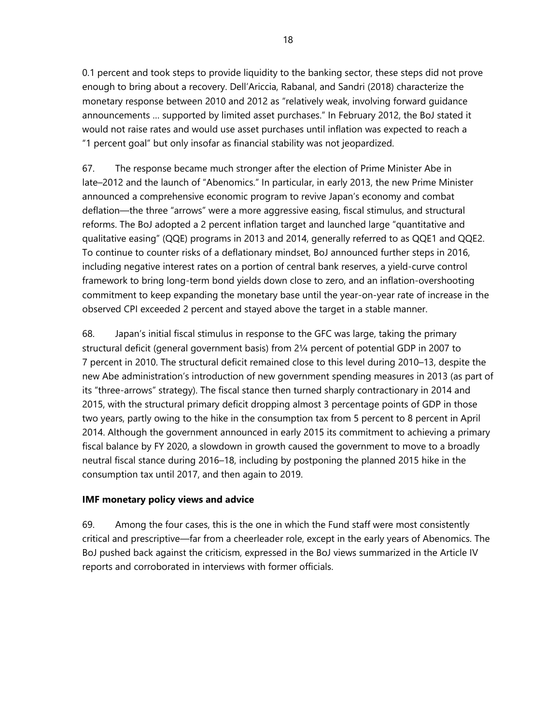0.1 percent and took steps to provide liquidity to the banking sector, these steps did not prove enough to bring about a recovery. Dell'Ariccia, Rabanal, and Sandri (2018) characterize the monetary response between 2010 and 2012 as "relatively weak, involving forward guidance announcements … supported by limited asset purchases." In February 2012, the BoJ stated it would not raise rates and would use asset purchases until inflation was expected to reach a "1 percent goal" but only insofar as financial stability was not jeopardized.

67. The response became much stronger after the election of Prime Minister Abe in late–2012 and the launch of "Abenomics." In particular, in early 2013, the new Prime Minister announced a comprehensive economic program to revive Japan's economy and combat deflation—the three "arrows" were a more aggressive easing, fiscal stimulus, and structural reforms. The BoJ adopted a 2 percent inflation target and launched large "quantitative and qualitative easing" (QQE) programs in 2013 and 2014, generally referred to as QQE1 and QQE2. To continue to counter risks of a deflationary mindset, BoJ announced further steps in 2016, including negative interest rates on a portion of central bank reserves, a yield-curve control framework to bring long-term bond yields down close to zero, and an inflation-overshooting commitment to keep expanding the monetary base until the year-on-year rate of increase in the observed CPI exceeded 2 percent and stayed above the target in a stable manner.

68. Japan's initial fiscal stimulus in response to the GFC was large, taking the primary structural deficit (general government basis) from 2¼ percent of potential GDP in 2007 to 7 percent in 2010. The structural deficit remained close to this level during 2010–13, despite the new Abe administration's introduction of new government spending measures in 2013 (as part of its "three-arrows" strategy). The fiscal stance then turned sharply contractionary in 2014 and 2015, with the structural primary deficit dropping almost 3 percentage points of GDP in those two years, partly owing to the hike in the consumption tax from 5 percent to 8 percent in April 2014. Although the government announced in early 2015 its commitment to achieving a primary fiscal balance by FY 2020, a slowdown in growth caused the government to move to a broadly neutral fiscal stance during 2016–18, including by postponing the planned 2015 hike in the consumption tax until 2017, and then again to 2019.

#### **IMF monetary policy views and advice**

69. Among the four cases, this is the one in which the Fund staff were most consistently critical and prescriptive—far from a cheerleader role, except in the early years of Abenomics. The BoJ pushed back against the criticism, expressed in the BoJ views summarized in the Article IV reports and corroborated in interviews with former officials.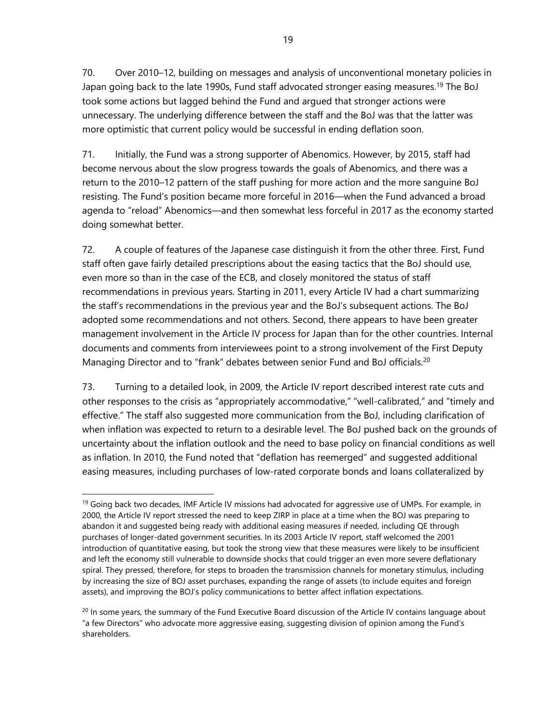70. Over 2010–12, building on messages and analysis of unconventional monetary policies in Japan going back to the late 1990s, Fund staff advocated stronger easing measures.<sup>19</sup> The BoJ took some actions but lagged behind the Fund and argued that stronger actions were unnecessary. The underlying difference between the staff and the BoJ was that the latter was more optimistic that current policy would be successful in ending deflation soon.

71. Initially, the Fund was a strong supporter of Abenomics. However, by 2015, staff had become nervous about the slow progress towards the goals of Abenomics, and there was a return to the 2010–12 pattern of the staff pushing for more action and the more sanguine BoJ resisting. The Fund's position became more forceful in 2016—when the Fund advanced a broad agenda to "reload" Abenomics—and then somewhat less forceful in 2017 as the economy started doing somewhat better.

72. A couple of features of the Japanese case distinguish it from the other three. First, Fund staff often gave fairly detailed prescriptions about the easing tactics that the BoJ should use, even more so than in the case of the ECB, and closely monitored the status of staff recommendations in previous years. Starting in 2011, every Article IV had a chart summarizing the staff's recommendations in the previous year and the BoJ's subsequent actions. The BoJ adopted some recommendations and not others. Second, there appears to have been greater management involvement in the Article IV process for Japan than for the other countries. Internal documents and comments from interviewees point to a strong involvement of the First Deputy Managing Director and to "frank" debates between senior Fund and BoJ officials.<sup>20</sup>

73. Turning to a detailed look, in 2009, the Article IV report described interest rate cuts and other responses to the crisis as "appropriately accommodative," "well-calibrated," and "timely and effective." The staff also suggested more communication from the BoJ, including clarification of when inflation was expected to return to a desirable level. The BoJ pushed back on the grounds of uncertainty about the inflation outlook and the need to base policy on financial conditions as well as inflation. In 2010, the Fund noted that "deflation has reemerged" and suggested additional easing measures, including purchases of low-rated corporate bonds and loans collateralized by

<sup>&</sup>lt;sup>19</sup> Going back two decades, IMF Article IV missions had advocated for aggressive use of UMPs. For example, in 2000, the Article IV report stressed the need to keep ZIRP in place at a time when the BOJ was preparing to abandon it and suggested being ready with additional easing measures if needed, including QE through purchases of longer-dated government securities. In its 2003 Article IV report, staff welcomed the 2001 introduction of quantitative easing, but took the strong view that these measures were likely to be insufficient and left the economy still vulnerable to downside shocks that could trigger an even more severe deflationary spiral. They pressed, therefore, for steps to broaden the transmission channels for monetary stimulus, including by increasing the size of BOJ asset purchases, expanding the range of assets (to include equites and foreign assets), and improving the BOJ's policy communications to better affect inflation expectations.

 $^{20}$  In some years, the summary of the Fund Executive Board discussion of the Article IV contains language about "a few Directors" who advocate more aggressive easing, suggesting division of opinion among the Fund's shareholders.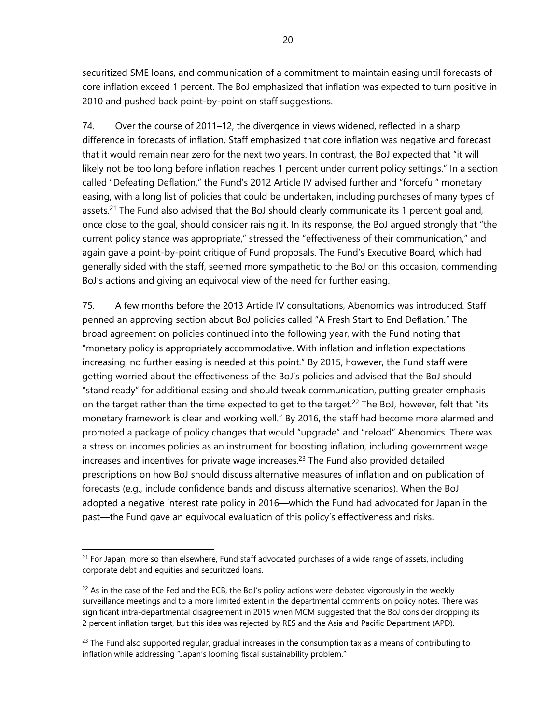securitized SME loans, and communication of a commitment to maintain easing until forecasts of core inflation exceed 1 percent. The BoJ emphasized that inflation was expected to turn positive in 2010 and pushed back point-by-point on staff suggestions.

74. Over the course of 2011–12, the divergence in views widened, reflected in a sharp difference in forecasts of inflation. Staff emphasized that core inflation was negative and forecast that it would remain near zero for the next two years. In contrast, the BoJ expected that "it will likely not be too long before inflation reaches 1 percent under current policy settings." In a section called "Defeating Deflation," the Fund's 2012 Article IV advised further and "forceful" monetary easing, with a long list of policies that could be undertaken, including purchases of many types of assets.<sup>21</sup> The Fund also advised that the BoJ should clearly communicate its 1 percent goal and, once close to the goal, should consider raising it. In its response, the BoJ argued strongly that "the current policy stance was appropriate," stressed the "effectiveness of their communication," and again gave a point-by-point critique of Fund proposals. The Fund's Executive Board, which had generally sided with the staff, seemed more sympathetic to the BoJ on this occasion, commending BoJ's actions and giving an equivocal view of the need for further easing.

75. A few months before the 2013 Article IV consultations, Abenomics was introduced. Staff penned an approving section about BoJ policies called "A Fresh Start to End Deflation." The broad agreement on policies continued into the following year, with the Fund noting that "monetary policy is appropriately accommodative. With inflation and inflation expectations increasing, no further easing is needed at this point." By 2015, however, the Fund staff were getting worried about the effectiveness of the BoJ's policies and advised that the BoJ should "stand ready" for additional easing and should tweak communication, putting greater emphasis on the target rather than the time expected to get to the target.<sup>22</sup> The BoJ, however, felt that "its monetary framework is clear and working well." By 2016, the staff had become more alarmed and promoted a package of policy changes that would "upgrade" and "reload" Abenomics. There was a stress on incomes policies as an instrument for boosting inflation, including government wage increases and incentives for private wage increases.<sup>23</sup> The Fund also provided detailed prescriptions on how BoJ should discuss alternative measures of inflation and on publication of forecasts (e.g., include confidence bands and discuss alternative scenarios). When the BoJ adopted a negative interest rate policy in 2016—which the Fund had advocated for Japan in the past—the Fund gave an equivocal evaluation of this policy's effectiveness and risks.

l

 $21$  For Japan, more so than elsewhere, Fund staff advocated purchases of a wide range of assets, including corporate debt and equities and securitized loans.

 $^{22}$  As in the case of the Fed and the ECB, the BoJ's policy actions were debated vigorously in the weekly surveillance meetings and to a more limited extent in the departmental comments on policy notes. There was significant intra-departmental disagreement in 2015 when MCM suggested that the BoJ consider dropping its 2 percent inflation target, but this idea was rejected by RES and the Asia and Pacific Department (APD).

 $23$  The Fund also supported regular, gradual increases in the consumption tax as a means of contributing to inflation while addressing "Japan's looming fiscal sustainability problem."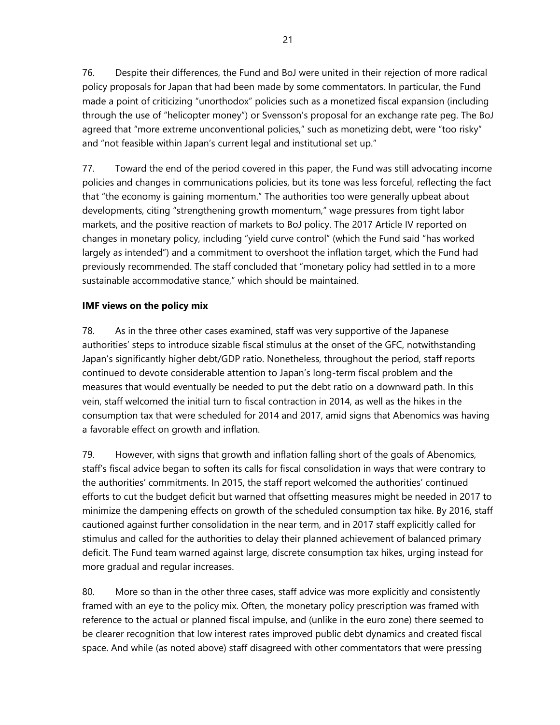76. Despite their differences, the Fund and BoJ were united in their rejection of more radical policy proposals for Japan that had been made by some commentators. In particular, the Fund made a point of criticizing "unorthodox" policies such as a monetized fiscal expansion (including through the use of "helicopter money") or Svensson's proposal for an exchange rate peg. The BoJ agreed that "more extreme unconventional policies," such as monetizing debt, were "too risky" and "not feasible within Japan's current legal and institutional set up."

77. Toward the end of the period covered in this paper, the Fund was still advocating income policies and changes in communications policies, but its tone was less forceful, reflecting the fact that "the economy is gaining momentum." The authorities too were generally upbeat about developments, citing "strengthening growth momentum," wage pressures from tight labor markets, and the positive reaction of markets to BoJ policy. The 2017 Article IV reported on changes in monetary policy, including "yield curve control" (which the Fund said "has worked largely as intended") and a commitment to overshoot the inflation target, which the Fund had previously recommended. The staff concluded that "monetary policy had settled in to a more sustainable accommodative stance," which should be maintained.

## **IMF views on the policy mix**

78. As in the three other cases examined, staff was very supportive of the Japanese authorities' steps to introduce sizable fiscal stimulus at the onset of the GFC, notwithstanding Japan's significantly higher debt/GDP ratio. Nonetheless, throughout the period, staff reports continued to devote considerable attention to Japan's long-term fiscal problem and the measures that would eventually be needed to put the debt ratio on a downward path. In this vein, staff welcomed the initial turn to fiscal contraction in 2014, as well as the hikes in the consumption tax that were scheduled for 2014 and 2017, amid signs that Abenomics was having a favorable effect on growth and inflation.

79. However, with signs that growth and inflation falling short of the goals of Abenomics, staff's fiscal advice began to soften its calls for fiscal consolidation in ways that were contrary to the authorities' commitments. In 2015, the staff report welcomed the authorities' continued efforts to cut the budget deficit but warned that offsetting measures might be needed in 2017 to minimize the dampening effects on growth of the scheduled consumption tax hike. By 2016, staff cautioned against further consolidation in the near term, and in 2017 staff explicitly called for stimulus and called for the authorities to delay their planned achievement of balanced primary deficit. The Fund team warned against large, discrete consumption tax hikes, urging instead for more gradual and regular increases.

80. More so than in the other three cases, staff advice was more explicitly and consistently framed with an eye to the policy mix. Often, the monetary policy prescription was framed with reference to the actual or planned fiscal impulse, and (unlike in the euro zone) there seemed to be clearer recognition that low interest rates improved public debt dynamics and created fiscal space. And while (as noted above) staff disagreed with other commentators that were pressing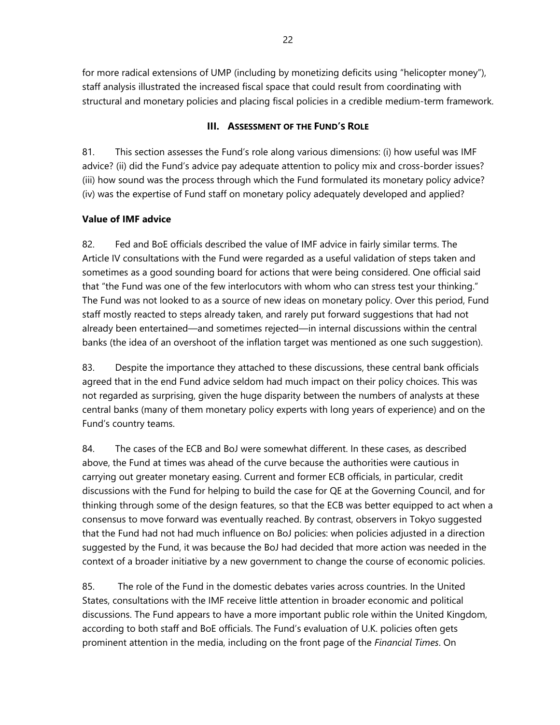for more radical extensions of UMP (including by monetizing deficits using "helicopter money"), staff analysis illustrated the increased fiscal space that could result from coordinating with structural and monetary policies and placing fiscal policies in a credible medium-term framework.

# **III. ASSESSMENT OF THE FUND'S ROLE**

81. This section assesses the Fund's role along various dimensions: (i) how useful was IMF advice? (ii) did the Fund's advice pay adequate attention to policy mix and cross-border issues? (iii) how sound was the process through which the Fund formulated its monetary policy advice? (iv) was the expertise of Fund staff on monetary policy adequately developed and applied?

# **Value of IMF advice**

82. Fed and BoE officials described the value of IMF advice in fairly similar terms. The Article IV consultations with the Fund were regarded as a useful validation of steps taken and sometimes as a good sounding board for actions that were being considered. One official said that "the Fund was one of the few interlocutors with whom who can stress test your thinking." The Fund was not looked to as a source of new ideas on monetary policy. Over this period, Fund staff mostly reacted to steps already taken, and rarely put forward suggestions that had not already been entertained—and sometimes rejected—in internal discussions within the central banks (the idea of an overshoot of the inflation target was mentioned as one such suggestion).

83. Despite the importance they attached to these discussions, these central bank officials agreed that in the end Fund advice seldom had much impact on their policy choices. This was not regarded as surprising, given the huge disparity between the numbers of analysts at these central banks (many of them monetary policy experts with long years of experience) and on the Fund's country teams.

84. The cases of the ECB and BoJ were somewhat different. In these cases, as described above, the Fund at times was ahead of the curve because the authorities were cautious in carrying out greater monetary easing. Current and former ECB officials, in particular, credit discussions with the Fund for helping to build the case for QE at the Governing Council, and for thinking through some of the design features, so that the ECB was better equipped to act when a consensus to move forward was eventually reached. By contrast, observers in Tokyo suggested that the Fund had not had much influence on BoJ policies: when policies adjusted in a direction suggested by the Fund, it was because the BoJ had decided that more action was needed in the context of a broader initiative by a new government to change the course of economic policies.

85. The role of the Fund in the domestic debates varies across countries. In the United States, consultations with the IMF receive little attention in broader economic and political discussions. The Fund appears to have a more important public role within the United Kingdom, according to both staff and BoE officials. The Fund's evaluation of U.K. policies often gets prominent attention in the media, including on the front page of the *Financial Times*. On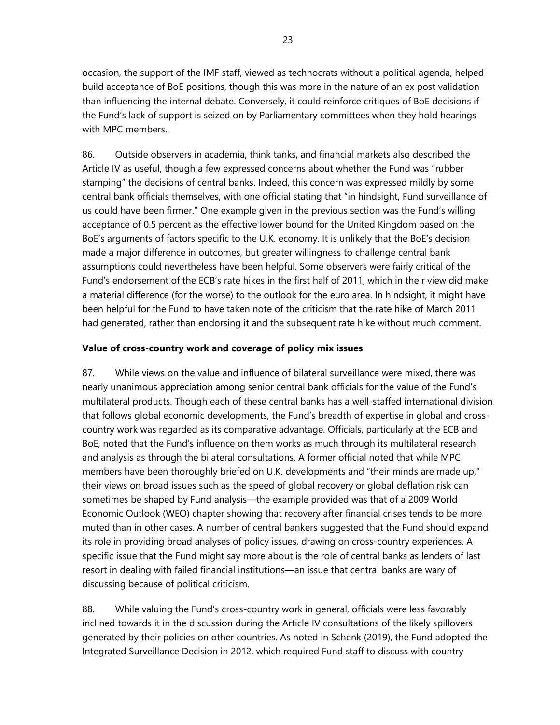occasion, the support of the IMF staff, viewed as technocrats without a political agenda, helped build acceptance of BoE positions, though this was more in the nature of an ex post validation than influencing the internal debate. Conversely, it could reinforce critiques of BoE decisions if the Fund's lack of support is seized on by Parliamentary committees when they hold hearings with MPC members.

86. Outside observers in academia, think tanks, and financial markets also described the Article IV as useful, though a few expressed concerns about whether the Fund was "rubber stamping" the decisions of central banks. Indeed, this concern was expressed mildly by some central bank officials themselves, with one official stating that "in hindsight, Fund surveillance of us could have been firmer." One example given in the previous section was the Fund's willing acceptance of 0.5 percent as the effective lower bound for the United Kingdom based on the BoE's arguments of factors specific to the U.K. economy. It is unlikely that the BoE's decision made a major difference in outcomes, but greater willingness to challenge central bank assumptions could nevertheless have been helpful. Some observers were fairly critical of the Fund's endorsement of the ECB's rate hikes in the first half of 2011, which in their view did make a material difference (for the worse) to the outlook for the euro area. In hindsight, it might have been helpful for the Fund to have taken note of the criticism that the rate hike of March 2011 had generated, rather than endorsing it and the subsequent rate hike without much comment.

## **Value of cross-country work and coverage of policy mix issues**

87. While views on the value and influence of bilateral surveillance were mixed, there was nearly unanimous appreciation among senior central bank officials for the value of the Fund's multilateral products. Though each of these central banks has a well-staffed international division that follows global economic developments, the Fund's breadth of expertise in global and crosscountry work was regarded as its comparative advantage. Officials, particularly at the ECB and BoE, noted that the Fund's influence on them works as much through its multilateral research and analysis as through the bilateral consultations. A former official noted that while MPC members have been thoroughly briefed on U.K. developments and "their minds are made up," their views on broad issues such as the speed of global recovery or global deflation risk can sometimes be shaped by Fund analysis—the example provided was that of a 2009 World Economic Outlook (WEO) chapter showing that recovery after financial crises tends to be more muted than in other cases. A number of central bankers suggested that the Fund should expand its role in providing broad analyses of policy issues, drawing on cross-country experiences. A specific issue that the Fund might say more about is the role of central banks as lenders of last resort in dealing with failed financial institutions—an issue that central banks are wary of discussing because of political criticism.

88. While valuing the Fund's cross-country work in general, officials were less favorably inclined towards it in the discussion during the Article IV consultations of the likely spillovers generated by their policies on other countries. As noted in Schenk (2019), the Fund adopted the Integrated Surveillance Decision in 2012, which required Fund staff to discuss with country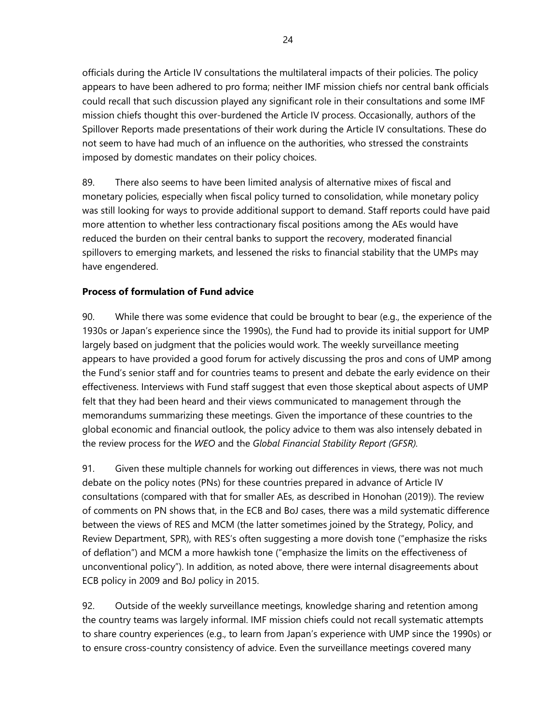officials during the Article IV consultations the multilateral impacts of their policies. The policy appears to have been adhered to pro forma; neither IMF mission chiefs nor central bank officials could recall that such discussion played any significant role in their consultations and some IMF mission chiefs thought this over-burdened the Article IV process. Occasionally, authors of the Spillover Reports made presentations of their work during the Article IV consultations. These do not seem to have had much of an influence on the authorities, who stressed the constraints imposed by domestic mandates on their policy choices.

89. There also seems to have been limited analysis of alternative mixes of fiscal and monetary policies, especially when fiscal policy turned to consolidation, while monetary policy was still looking for ways to provide additional support to demand. Staff reports could have paid more attention to whether less contractionary fiscal positions among the AEs would have reduced the burden on their central banks to support the recovery, moderated financial spillovers to emerging markets, and lessened the risks to financial stability that the UMPs may have engendered.

## **Process of formulation of Fund advice**

90. While there was some evidence that could be brought to bear (e.g., the experience of the 1930s or Japan's experience since the 1990s), the Fund had to provide its initial support for UMP largely based on judgment that the policies would work. The weekly surveillance meeting appears to have provided a good forum for actively discussing the pros and cons of UMP among the Fund's senior staff and for countries teams to present and debate the early evidence on their effectiveness. Interviews with Fund staff suggest that even those skeptical about aspects of UMP felt that they had been heard and their views communicated to management through the memorandums summarizing these meetings. Given the importance of these countries to the global economic and financial outlook, the policy advice to them was also intensely debated in the review process for the *WEO* and the *Global Financial Stability Report (GFSR).*

91. Given these multiple channels for working out differences in views, there was not much debate on the policy notes (PNs) for these countries prepared in advance of Article IV consultations (compared with that for smaller AEs, as described in Honohan (2019)). The review of comments on PN shows that, in the ECB and BoJ cases, there was a mild systematic difference between the views of RES and MCM (the latter sometimes joined by the Strategy, Policy, and Review Department, SPR), with RES's often suggesting a more dovish tone ("emphasize the risks of deflation") and MCM a more hawkish tone ("emphasize the limits on the effectiveness of unconventional policy"). In addition, as noted above, there were internal disagreements about ECB policy in 2009 and BoJ policy in 2015.

92. Outside of the weekly surveillance meetings, knowledge sharing and retention among the country teams was largely informal. IMF mission chiefs could not recall systematic attempts to share country experiences (e.g., to learn from Japan's experience with UMP since the 1990s) or to ensure cross-country consistency of advice. Even the surveillance meetings covered many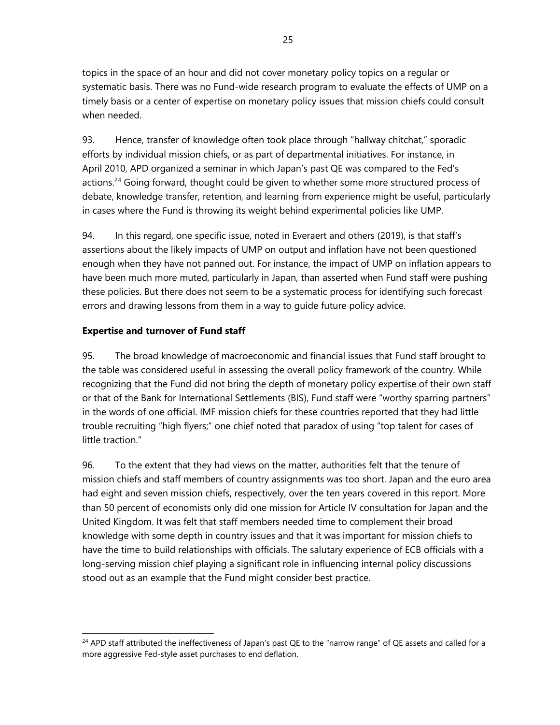topics in the space of an hour and did not cover monetary policy topics on a regular or systematic basis. There was no Fund-wide research program to evaluate the effects of UMP on a timely basis or a center of expertise on monetary policy issues that mission chiefs could consult when needed.

93. Hence, transfer of knowledge often took place through "hallway chitchat," sporadic efforts by individual mission chiefs, or as part of departmental initiatives. For instance, in April 2010, APD organized a seminar in which Japan's past QE was compared to the Fed's actions.<sup>24</sup> Going forward, thought could be given to whether some more structured process of debate, knowledge transfer, retention, and learning from experience might be useful, particularly in cases where the Fund is throwing its weight behind experimental policies like UMP.

94. In this regard, one specific issue, noted in Everaert and others (2019), is that staff's assertions about the likely impacts of UMP on output and inflation have not been questioned enough when they have not panned out. For instance, the impact of UMP on inflation appears to have been much more muted, particularly in Japan, than asserted when Fund staff were pushing these policies. But there does not seem to be a systematic process for identifying such forecast errors and drawing lessons from them in a way to guide future policy advice.

## **Expertise and turnover of Fund staff**

 $\overline{a}$ 

95. The broad knowledge of macroeconomic and financial issues that Fund staff brought to the table was considered useful in assessing the overall policy framework of the country. While recognizing that the Fund did not bring the depth of monetary policy expertise of their own staff or that of the Bank for International Settlements (BIS), Fund staff were "worthy sparring partners" in the words of one official. IMF mission chiefs for these countries reported that they had little trouble recruiting "high flyers;" one chief noted that paradox of using "top talent for cases of little traction."

96. To the extent that they had views on the matter, authorities felt that the tenure of mission chiefs and staff members of country assignments was too short. Japan and the euro area had eight and seven mission chiefs, respectively, over the ten years covered in this report. More than 50 percent of economists only did one mission for Article IV consultation for Japan and the United Kingdom. It was felt that staff members needed time to complement their broad knowledge with some depth in country issues and that it was important for mission chiefs to have the time to build relationships with officials. The salutary experience of ECB officials with a long-serving mission chief playing a significant role in influencing internal policy discussions stood out as an example that the Fund might consider best practice.

<sup>&</sup>lt;sup>24</sup> APD staff attributed the ineffectiveness of Japan's past QE to the "narrow range" of QE assets and called for a more aggressive Fed-style asset purchases to end deflation.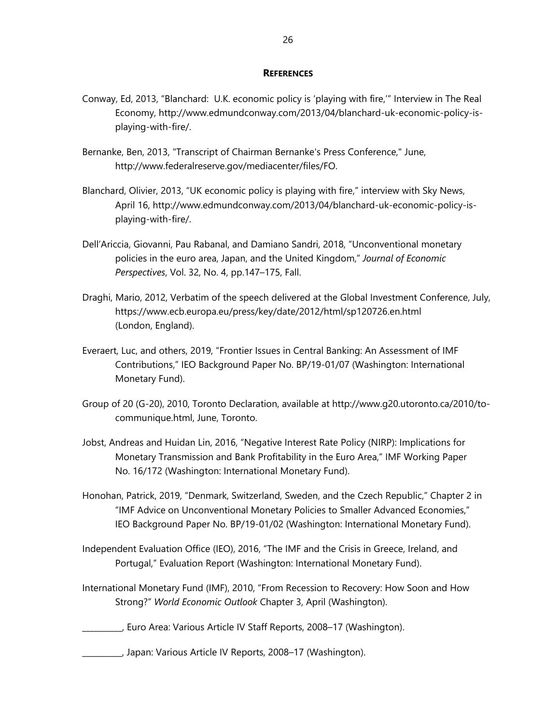#### **REFERENCES**

- Conway, Ed, 2013, "Blanchard: U.K. economic policy is 'playing with fire,'" Interview in The Real Economy, http://www.edmundconway.com/2013/04/blanchard-uk-economic-policy-isplaying-with-fire/.
- Bernanke, Ben, 2013, "Transcript of Chairman Bernanke's Press Conference," June, http://www.federalreserve.gov/mediacenter/files/FO.
- Blanchard, Olivier, 2013, "UK economic policy is playing with fire," interview with Sky News, April 16, http://www.edmundconway.com/2013/04/blanchard-uk-economic-policy-isplaying-with-fire/.
- Dell'Ariccia, Giovanni, Pau Rabanal, and Damiano Sandri, 2018, "Unconventional monetary policies in the euro area, Japan, and the United Kingdom," *Journal of Economic Perspectives*, Vol. 32, No. 4, pp.147–175, Fall.
- Draghi, Mario, 2012, Verbatim of the speech delivered at the Global Investment Conference, July, https://www.ecb.europa.eu/press/key/date/2012/html/sp120726.en.html (London, England).
- Everaert, Luc, and others, 2019, "Frontier Issues in Central Banking: An Assessment of IMF Contributions," IEO Background Paper No. BP/19-01/07 (Washington: International Monetary Fund).
- Group of 20 (G-20), 2010, Toronto Declaration, available at http://www.g20.utoronto.ca/2010/tocommunique.html, June, Toronto.
- Jobst, Andreas and Huidan Lin, 2016, "Negative Interest Rate Policy (NIRP): Implications for Monetary Transmission and Bank Profitability in the Euro Area," IMF Working Paper No. 16/172 (Washington: International Monetary Fund).
- Honohan, Patrick, 2019, "Denmark, Switzerland, Sweden, and the Czech Republic," Chapter 2 in "IMF Advice on Unconventional Monetary Policies to Smaller Advanced Economies," IEO Background Paper No. BP/19-01/02 (Washington: International Monetary Fund).
- Independent Evaluation Office (IEO), 2016, "The IMF and the Crisis in Greece, Ireland, and Portugal," Evaluation Report (Washington: International Monetary Fund).
- International Monetary Fund (IMF), 2010, "From Recession to Recovery: How Soon and How Strong?" *World Economic Outlook* Chapter 3, April (Washington).

\_\_\_\_\_\_\_\_\_\_, Euro Area: Various Article IV Staff Reports, 2008–17 (Washington).

\_\_\_\_\_\_\_\_\_\_, Japan: Various Article IV Reports, 2008–17 (Washington).